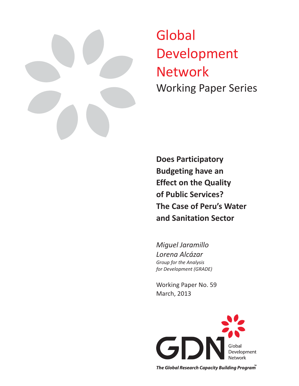

Global<br>Development Network working Pa Working Paper Series

**Does Participatory Budgeting have an Effect on the Quality of Public Services? The Case of Peru's Water and Sanitation Sector**

*Miguel Jaramillo* **Group for the Analysis** *Group for the Analysis for Development (GRADE)*

Working Paper No. 59  $\ldots$   $\ldots$   $\ldots$   $\ldots$ 



The Global Research Capacity Building Program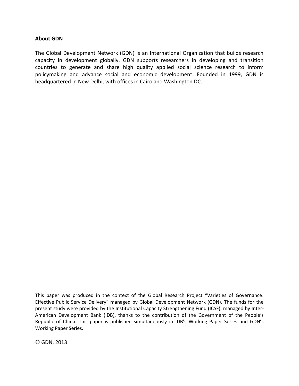## **About GDN**

The Global Development Network (GDN) is an International Organization that builds research capacity in development globally. GDN supports researchers in developing and transition countries to generate and share high quality applied social science research to inform policymaking and advance social and economic development. Founded in 1999, GDN is headquartered in New Delhi, with offices in Cairo and Washington DC.

This paper was produced in the context of the Global Research Project "Varieties of Governance: Effective Public Service Delivery" managed by Global Development Network (GDN). The funds for the present study were provided by the Institutional Capacity Strengthening Fund (ICSF), managed by Inter-American Development Bank (IDB), thanks to the contribution of the Government of the People's Republic of China. This paper is published simultaneously in IDB's Working Paper Series and GDN's Working Paper Series.

© GDN, 2013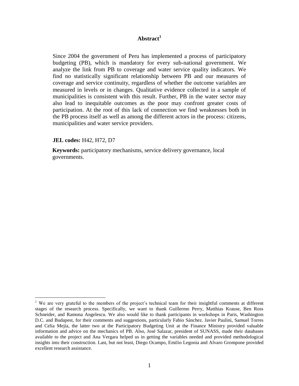# **Abstract<sup>1</sup>**

Since 2004 the government of Peru has implemented a process of participatory budgeting (PB), which is mandatory for every sub-national government. We analyze the link from PB to coverage and water service quality indicators. We find no statistically significant relationship between PB and our measures of coverage and service continuity, regardless of whether the outcome variables are measured in levels or in changes. Qualitative evidence collected in a sample of municipalities is consistent with this result. Further, PB in the water sector may also lead to inequitable outcomes as the poor may confront greater costs of participation. At the root of this lack of connection we find weaknesses both in the PB process itself as well as among the different actors in the process: citizens, municipalities and water service providers.

**JEL codes:** H42, H72, D7

<u>.</u>

**Keywords:** participatory mechanisms, service delivery governance, local governments.

<sup>&</sup>lt;sup>1</sup> We are very grateful to the members of the project's technical team for their insightful comments at different stages of the research process. Specifically, we want to thank Guillermo Perry, Matthias Krause, Ben Ross Schneider, and Ramona Angelescu. We also would like to thank participants in workshops in Paris, Washington D.C. and Budapest, for their comments and suggestions, particularly Fabio Sánchez. Javier Paulini, Samuel Torres and Celia Mejía, the latter two at the Participatory Budgeting Unit at the Finance Ministry provided valuable information and advice on the mechanics of PB. Also, José Salazar, president of SUNASS, made their databases available to the project and Ana Vergara helped us in getting the variables needed and provided methodological insights into their construction. Last, but not least, Diego Ocampo, Emilio Legonia and Alvaro Grompone provided excellent research assistance.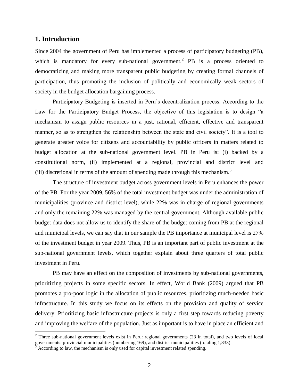# **1. Introduction**

<u>.</u>

Since 2004 the government of Peru has implemented a process of participatory budgeting (PB), which is mandatory for every sub-national government.<sup>2</sup> PB is a process oriented to democratizing and making more transparent public budgeting by creating formal channels of participation, thus promoting the inclusion of politically and economically weak sectors of society in the budget allocation bargaining process.

Participatory Budgeting is inserted in Peru's decentralization process. According to the Law for the Participatory Budget Process, the objective of this legislation is to design "a mechanism to assign public resources in a just, rational, efficient, effective and transparent manner, so as to strengthen the relationship between the state and civil society". It is a tool to generate greater voice for citizens and accountability by public officers in matters related to budget allocation at the sub-national government level. PB in Peru is: (i) backed by a constitutional norm, (ii) implemented at a regional, provincial and district level and (iii) discretional in terms of the amount of spending made through this mechanism.<sup>3</sup>

The structure of investment budget across government levels in Peru enhances the power of the PB. For the year 2009, 56% of the total investment budget was under the administration of municipalities (province and district level), while 22% was in charge of regional governments and only the remaining 22% was managed by the central government. Although available public budget data does not allow us to identify the share of the budget coming from PB at the regional and municipal levels, we can say that in our sample the PB importance at municipal level is 27% of the investment budget in year 2009. Thus, PB is an important part of public investment at the sub-national government levels, which together explain about three quarters of total public investment in Peru.

PB may have an effect on the composition of investments by sub-national governments, prioritizing projects in some specific sectors. In effect, World Bank (2009) argued that PB promotes a pro-poor logic in the allocation of public resources, prioritizing much-needed basic infrastructure. In this study we focus on its effects on the provision and quality of service delivery. Prioritizing basic infrastructure projects is only a first step towards reducing poverty and improving the welfare of the population. Just as important is to have in place an efficient and

<sup>&</sup>lt;sup>2</sup> Three sub-national government levels exist in Peru: regional governments (23 in total), and two levels of local governments: provincial municipalities (numbering 169), and district municipalities (totaling 1,833).

 $3 \text{ According to law, the mechanism is only used for capital investment related spending.}$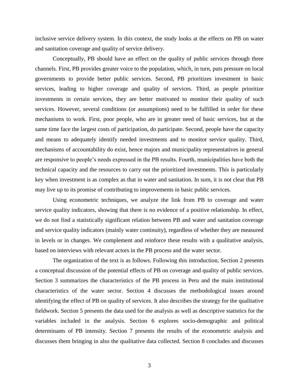inclusive service delivery system. In this context, the study looks at the effects on PB on water and sanitation coverage and quality of service delivery.

Conceptually, PB should have an effect on the quality of public services through three channels. First, PB provides greater voice to the population, which, in turn, puts pressure on local governments to provide better public services. Second, PB prioritizes investment in basic services, leading to higher coverage and quality of services. Third, as people prioritize investments in certain services, they are better motivated to monitor their quality of such services. However, several conditions (or assumptions) need to be fulfilled in order for these mechanisms to work. First, poor people, who are in greater need of basic services, but at the same time face the largest costs of participation, do participate. Second, people have the capacity and means to adequately identify needed investments and to monitor service quality. Third, mechanisms of accountability do exist, hence majors and municipality representatives in general are responsive to people's needs expressed in the PB results. Fourth, municipalities have both the technical capacity and the resources to carry out the prioritized investments. This is particularly key when investment is as complex as that in water and sanitation. In sum, it is not clear that PB may live up to its promise of contributing to improvements in basic public services.

Using econometric techniques, we analyze the link from PB to coverage and water service quality indicators, showing that there is no evidence of a positive relationship. In effect, we do not find a statistically significant relation between PB and water and sanitation coverage and service quality indicators (mainly water continuity), regardless of whether they are measured in levels or in changes. We complement and reinforce these results with a qualitative analysis, based on interviews with relevant actors in the PB process and the water sector.

The organization of the text is as follows. Following this introduction, Section 2 presents a conceptual discussion of the potential effects of PB on coverage and quality of public services. Section 3 summarizes the characteristics of the PB process in Peru and the main institutional characteristics of the water sector. Section 4 discusses the methodological issues around identifying the effect of PB on quality of services. It also describes the strategy for the qualitative fieldwork. Section 5 presents the data used for the analysis as well as descriptive statistics for the variables included in the analysis. Section 6 explores socio-demographic and political determinants of PB intensity. Section 7 presents the results of the econometric analysis and discusses them bringing in also the qualitative data collected. Section 8 concludes and discusses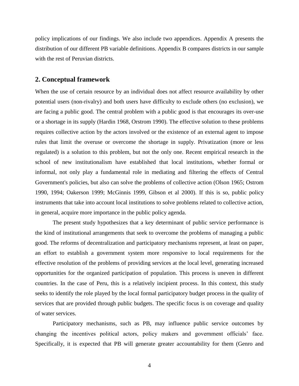policy implications of our findings. We also include two appendices. Appendix A presents the distribution of our different PB variable definitions. Appendix B compares districts in our sample with the rest of Peruvian districts.

## **2. Conceptual framework**

When the use of certain resource by an individual does not affect resource availability by other potential users (non-rivalry) and both users have difficulty to exclude others (no exclusion), we are facing a public good. The central problem with a public good is that encourages its over-use or a shortage in its supply (Hardin 1968, Orstrom 1990). The effective solution to these problems requires collective action by the actors involved or the existence of an external agent to impose rules that limit the overuse or overcome the shortage in supply. Privatization (more or less regulated) is a solution to this problem, but not the only one. Recent empirical research in the school of new institutionalism have established that local institutions, whether formal or informal, not only play a fundamental role in mediating and filtering the effects of Central Government's policies, but also can solve the problems of collective action (Olson 1965; Ostrom 1990, 1994; Oakerson 1999; McGinnis 1999, Gibson et al 2000). If this is so, public policy instruments that take into account local institutions to solve problems related to collective action, in general, acquire more importance in the public policy agenda.

The present study hypothesizes that a key determinant of public service performance is the kind of institutional arrangements that seek to overcome the problems of managing a public good. The reforms of decentralization and participatory mechanisms represent, at least on paper, an effort to establish a government system more responsive to local requirements for the effective resolution of the problems of providing services at the local level, generating increased opportunities for the organized participation of population. This process is uneven in different countries. In the case of Peru, this is a relatively incipient process. In this context, this study seeks to identify the role played by the local formal participatory budget process in the quality of services that are provided through public budgets. The specific focus is on coverage and quality of water services.

Participatory mechanisms, such as PB, may influence public service outcomes by changing the incentives political actors, policy makers and government officials' face. Specifically, it is expected that PB will generate greater accountability for them (Genro and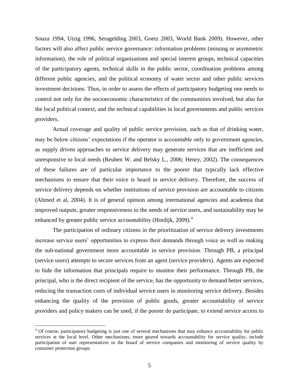Souza 1994, Utzig 1996, Seragelding 2003, Goetz 2003, World Bank 2009). However, other factors will also affect public service governance: information problems (missing or asymmetric information), the role of political organizations and special interest groups, technical capacities of the participatory agents, technical skills in the public sector, coordination problems among different public agencies, and the political economy of water sector and other public services investment decisions. Thus, in order to assess the effects of participatory budgeting one needs to control not only for the socioeconomic characteristics of the communities involved, but also for the local political context, and the technical capabilities in local governments and public services providers.

Actual coverage and quality of public service provision, such as that of drinking water, may be below citizens' expectations if the operator is accountable only to government agencies, as supply driven approaches to service delivery may generate services that are inefficient and unresponsive to local needs (Reuben W. and Belsky L., 2006; Henry, 2002). The consequences of these failures are of particular importance to the poorer that typically lack effective mechanisms to ensure that their voice is heard in service delivery. Therefore, the success of service delivery depends on whether institutions of service provision are accountable to citizens (Ahmed et al, 2004). It is of general opinion among international agencies and academia that improved outputs, greater responsiveness to the needs of service users, and sustainability may be enhanced by greater public service accountability (Hordijk, 2009).<sup>4</sup>

The participation of ordinary citizens in the prioritization of service delivery investments increase service users' opportunities to express their demands through voice as well as making the sub-national government more accountable in service provision. Through PB, a principal (service users) attempts to secure services from an agent (service providers). Agents are expected to hide the information that principals require to monitor their performance. Through PB, the principal, who is the direct recipient of the service, has the opportunity to demand better services, reducing the transaction costs of individual service users in monitoring service delivery. Besides enhancing the quality of the provision of public goods, greater accountability of service providers and policy makers can be used, if the poorer do participate, to extend service access to

<u>.</u>

<sup>&</sup>lt;sup>4</sup> Of course, participatory budgeting is just one of several mechanisms that may enhance accountability for public services at the local level. Other mechanisms, more geared towards accountability for service quality, include participation of user representatives in the board of service companies and monitoring of service quality by consumer protection groups.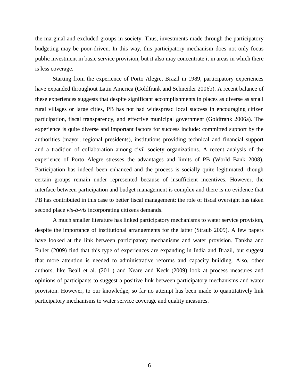the marginal and excluded groups in society. Thus, investments made through the participatory budgeting may be poor-driven. In this way, this participatory mechanism does not only focus public investment in basic service provision, but it also may concentrate it in areas in which there is less coverage.

Starting from the experience of Porto Alegre, Brazil in 1989, participatory experiences have expanded throughout Latin America (Goldfrank and Schneider 2006b). A recent balance of these experiences suggests that despite significant accomplishments in places as diverse as small rural villages or large cities, PB has not had widespread local success in encouraging citizen participation, fiscal transparency, and effective municipal government (Goldfrank 2006a). The experience is quite diverse and important factors for success include: committed support by the authorities (mayor, regional presidents), institutions providing technical and financial support and a tradition of collaboration among civil society organizations. A recent analysis of the experience of Porto Alegre stresses the advantages and limits of PB (World Bank 2008). Participation has indeed been enhanced and the process is socially quite legitimated, though certain groups remain under represented because of insufficient incentives. However, the interface between participation and budget management is complex and there is no evidence that PB has contributed in this case to better fiscal management: the role of fiscal oversight has taken second place *vis-á-vis* incorporating citizens demands.

A much smaller literature has linked participatory mechanisms to water service provision, despite the importance of institutional arrangements for the latter (Straub 2009). A few papers have looked at the link between participatory mechanisms and water provision. Tankha and Fuller (2009) find that this type of experiences are expanding in India and Brazil, but suggest that more attention is needed to administrative reforms and capacity building. Also, other authors, like Beall et al. (2011) and Neare and Keck (2009) look at process measures and opinions of participants to suggest a positive link between participatory mechanisms and water provision. However, to our knowledge, so far no attempt has been made to quantitatively link participatory mechanisms to water service coverage and quality measures.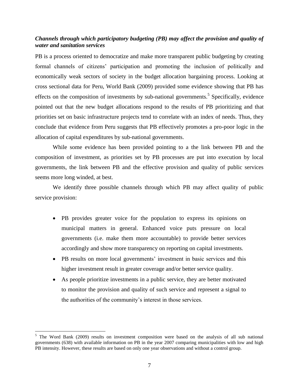# *Channels through which participatory budgeting (PB) may affect the provision and quality of water and sanitation services*

PB is a process oriented to democratize and make more transparent public budgeting by creating formal channels of citizens' participation and promoting the inclusion of politically and economically weak sectors of society in the budget allocation bargaining process. Looking at cross sectional data for Peru, World Bank (2009) provided some evidence showing that PB has effects on the composition of investments by sub-national governments.<sup>5</sup> Specifically, evidence pointed out that the new budget allocations respond to the results of PB prioritizing and that priorities set on basic infrastructure projects tend to correlate with an index of needs. Thus, they conclude that evidence from Peru suggests that PB effectively promotes a pro-poor logic in the allocation of capital expenditures by sub-national governments.

While some evidence has been provided pointing to a the link between PB and the composition of investment, as priorities set by PB processes are put into execution by local governments, the link between PB and the effective provision and quality of public services seems more long winded, at best.

We identify three possible channels through which PB may affect quality of public service provision:

- PB provides greater voice for the population to express its opinions on municipal matters in general. Enhanced voice puts pressure on local governments (i.e. make them more accountable) to provide better services accordingly and show more transparency on reporting on capital investments.
- PB results on more local governments' investment in basic services and this higher investment result in greater coverage and/or better service quality.
- As people prioritize investments in a public service, they are better motivated to monitor the provision and quality of such service and represent a signal to the authorities of the community's interest in those services.

<u>.</u>

<sup>&</sup>lt;sup>5</sup> The Word Bank (2009) results on investment composition were based on the analysis of all sub national governments (638) with available information on PB in the year 2007 comparing municipalities with low and high PB intensity. However, these results are based on only one year observations and without a control group.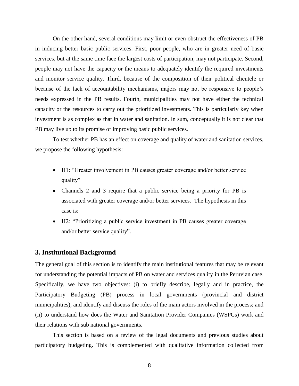On the other hand, several conditions may limit or even obstruct the effectiveness of PB in inducing better basic public services. First, poor people, who are in greater need of basic services, but at the same time face the largest costs of participation, may not participate. Second, people may not have the capacity or the means to adequately identify the required investments and monitor service quality. Third, because of the composition of their political clientele or because of the lack of accountability mechanisms, majors may not be responsive to people's needs expressed in the PB results. Fourth, municipalities may not have either the technical capacity or the resources to carry out the prioritized investments. This is particularly key when investment is as complex as that in water and sanitation. In sum, conceptually it is not clear that PB may live up to its promise of improving basic public services.

To test whether PB has an effect on coverage and quality of water and sanitation services, we propose the following hypothesis:

- H1: "Greater involvement in PB causes greater coverage and/or better service quality"
- Channels 2 and 3 require that a public service being a priority for PB is associated with greater coverage and/or better services. The hypothesis in this case is:
- H2: "Prioritizing a public service investment in PB causes greater coverage and/or better service quality".

# **3. Institutional Background**

The general goal of this section is to identify the main institutional features that may be relevant for understanding the potential impacts of PB on water and services quality in the Peruvian case. Specifically, we have two objectives: (i) to briefly describe, legally and in practice, the Participatory Budgeting (PB) process in local governments (provincial and district municipalities), and identify and discuss the roles of the main actors involved in the process; and (ii) to understand how does the Water and Sanitation Provider Companies (WSPCs) work and their relations with sub national governments.

This section is based on a review of the legal documents and previous studies about participatory budgeting. This is complemented with qualitative information collected from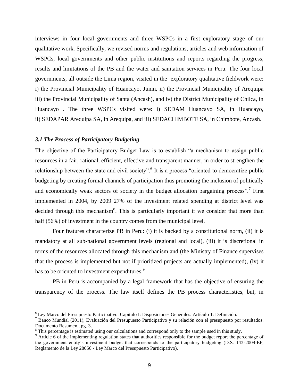interviews in four local governments and three WSPCs in a first exploratory stage of our qualitative work. Specifically, we revised norms and regulations, articles and web information of WSPCs, local governments and other public institutions and reports regarding the progress, results and limitations of the PB and the water and sanitation services in Peru. The four local governments, all outside the Lima region, visited in the exploratory qualitative fieldwork were: i) the Provincial Municipality of Huancayo, Junin, ii) the Provincial Municipality of Arequipa iii) the Provincial Municipality of Santa (Ancash), and iv) the District Municipality of Chilca, in Huancayo . The three WSPCs visited were: i) SEDAM Huancayo SA, in Huancayo, ii) SEDAPAR Arequipa SA, in Arequipa, and iii) SEDACHIMBOTE SA, in Chimbote, Ancash.

## *3.1 The Process of Participatory Budgeting*

<u>.</u>

The objective of the Participatory Budget Law is to establish "a mechanism to assign public resources in a fair, rational, efficient, effective and transparent manner, in order to strengthen the relationship between the state and civil society".<sup>6</sup> It is a process "oriented to democratize public budgeting by creating formal channels of participation thus promoting the inclusion of politically and economically weak sectors of society in the budget allocation bargaining process".<sup>7</sup> First implemented in 2004, by 2009 27% of the investment related spending at district level was decided through this mechanism<sup>8</sup>. This is particularly important if we consider that more than half (56%) of investment in the country comes from the municipal level.

Four features characterize PB in Peru: (i) it is backed by a constitutional norm, (ii) it is mandatory at all sub-national government levels (regional and local), (iii) it is discretional in terms of the resources allocated through this mechanism and (the Ministry of Finance supervises that the process is implemented but not if prioritized projects are actually implemented), (iv) it has to be oriented to investment expenditures.<sup>9</sup>

PB in Peru is accompanied by a legal framework that has the objective of ensuring the transparency of the process. The law itself defines the PB process characteristics, but, in

<sup>6</sup> Ley Marco del Presupuesto Participativo. Capítulo I: Disposiciones Generales. Artículo 1: Definición.

<sup>&</sup>lt;sup>7</sup> Banco Mundial (2011), Evaluación del Presupuesto Participativo y su relación con el presupuesto por resultados. Documento Resumen., pg. 3.

<sup>&</sup>lt;sup>8</sup> This percentage is estimated using our calculations and correspond only to the sample used in this study.

<sup>&</sup>lt;sup>9</sup> Article 6 of the implementing regulation states that authorities responsible for the budget report the percentage of the government entity's investment budget that corresponds to the participatory budgeting (D.S. 142-2009-EF, Reglamento de la Ley 28056 - Ley Marco del Presupuesto Participativo).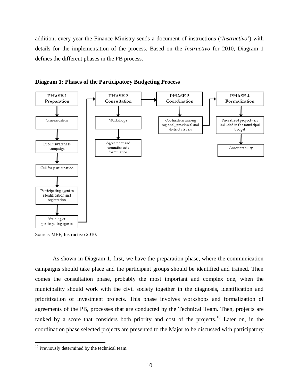addition, every year the Finance Ministry sends a document of instructions (‗*Instructivo*') with details for the implementation of the process. Based on the *Instructivo* for 2010, Diagram 1 defines the different phases in the PB process.



**Diagram 1: Phases of the Participatory Budgeting Process**

Source: MEF, Instructivo 2010.

As shown in Diagram 1, first, we have the preparation phase, where the communication campaigns should take place and the participant groups should be identified and trained. Then comes the consultation phase, probably the most important and complex one, when the municipality should work with the civil society together in the diagnosis, identification and prioritization of investment projects. This phase involves workshops and formalization of agreements of the PB, processes that are conducted by the Technical Team. Then, projects are ranked by a score that considers both priority and cost of the projects.<sup>10</sup> Later on, in the coordination phase selected projects are presented to the Major to be discussed with participatory

1

<sup>&</sup>lt;sup>10</sup> Previously determined by the technical team.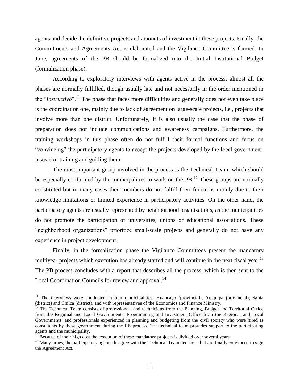agents and decide the definitive projects and amounts of investment in these projects. Finally, the Commitments and Agreements Act is elaborated and the Vigilance Committee is formed. In June, agreements of the PB should be formalized into the Initial Institutional Budget (formalization phase).

According to exploratory interviews with agents active in the process, almost all the phases are normally fulfilled, though usually late and not necessarily in the order mentioned in the "*Instructivo*".<sup>11</sup> The phase that faces more difficulties and generally does not even take place is the coordination one, mainly due to lack of agreement on large-scale projects, i.e., projects that involve more than one district. Unfortunately, it is also usually the case that the phase of preparation does not include communications and awareness campaigns. Furthermore, the training workshops in this phase often do not fulfill their formal functions and focus on "convincing" the participatory agents to accept the projects developed by the local government, instead of training and guiding them.

The most important group involved in the process is the Technical Team, which should be especially conformed by the municipalities to work on the  $PB<sup>12</sup>$ . These groups are normally constituted but in many cases their members do not fulfill their functions mainly due to their knowledge limitations or limited experience in participatory activities. On the other hand, the participatory agents are usually represented by neighborhood organizations, as the municipalities do not promote the participation of universities, unions or educational associations. These "neighborhood organizations" prioritize small-scale projects and generally do not have any experience in project development.

Finally, in the formalization phase the Vigilance Committees present the mandatory multiyear projects which execution has already started and will continue in the next fiscal year.<sup>13</sup> The PB process concludes with a report that describes all the process, which is then sent to the Local Coordination Councils for review and approval.<sup>14</sup>

<u>.</u>

 $11$  The interviews were conducted in four municipalities: Huancayo (provincial), Arequipa (provincial), Santa (district) and Chilca (district), and with representatives of the Economics and Finance Ministry.

<sup>&</sup>lt;sup>12</sup> The Technical Team consists of professionals and technicians from the Planning, Budget and Territorial Office from the Regional and Local Governments; Programming and Investment Office from the Regional and Local Governments; and professionals experienced in planning and budgeting from the civil society who were hired as consultants by these government during the PB process. The technical team provides support to the participating agents and the municipality.

Because of their high cost the execution of these mandatory projects is divided over several years.

<sup>&</sup>lt;sup>14</sup> Many times, the participatory agents disagree with the Technical Team decisions but are finally convinced to sign the Agreement Act.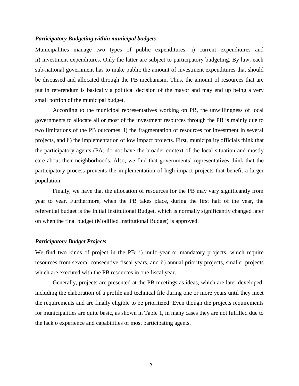## *Participatory Budgeting within municipal budgets*

Municipalities manage two types of public expenditures: i) current expenditures and ii) investment expenditures. Only the latter are subject to participatory budgeting. By law, each sub-national government has to make public the amount of investment expenditures that should be discussed and allocated through the PB mechanism. Thus, the amount of resources that are put in referendum is basically a political decision of the mayor and may end up being a very small portion of the municipal budget.

According to the municipal representatives working on PB, the unwillingness of local governments to allocate all or most of the investment resources through the PB is mainly due to two limitations of the PB outcomes: i) the fragmentation of resources for investment in several projects, and ii) the implementation of low impact projects. First, municipality officials think that the participatory agents (PA) do not have the broader context of the local situation and mostly care about their neighborhoods. Also, we find that governments' representatives think that the participatory process prevents the implementation of high-impact projects that benefit a larger population.

Finally, we have that the allocation of resources for the PB may vary significantly from year to year. Furthermore, when the PB takes place, during the first half of the year, the referential budget is the Initial Institutional Budget, which is normally significantly changed later on when the final budget (Modified Institutional Budget) is approved.

#### *Participatory Budget Projects*

We find two kinds of project in the PB: i) multi-year or mandatory projects, which require resources from several consecutive fiscal years, and ii) annual priority projects, smaller projects which are executed with the PB resources in one fiscal year.

Generally, projects are presented at the PB meetings as ideas, which are later developed, including the elaboration of a profile and technical file during one or more years until they meet the requirements and are finally eligible to be prioritized. Even though the projects requirements for municipalities are quite basic, as shown in Table 1, in many cases they are not fulfilled due to the lack o experience and capabilities of most participating agents.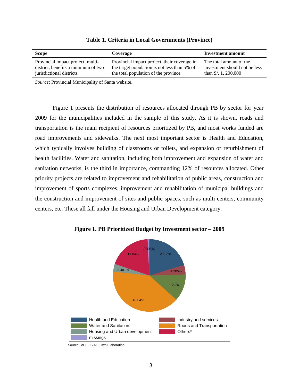| <b>Scope</b>                        | Coverage                                     | <b>Investment amount</b>      |
|-------------------------------------|----------------------------------------------|-------------------------------|
| Provincial impact project, multi-   | Provincial impact project, their coverage in | The total amount of the       |
| district, benefits a minimum of two | the target population is not less than 5% of | investment should not be less |
| jurisdictional districts            | the total population of the province         | than $S/$ . 1, 200,000        |

**Table 1. Criteria in Local Governments (Province)**

*Source*: Provincial Municipality of Santa website.

Figure 1 presents the distribution of resources allocated through PB by sector for year 2009 for the municipalities included in the sample of this study. As it is shown, roads and transportation is the main recipient of resources prioritized by PB, and most works funded are road improvements and sidewalks. The next most important sector is Health and Education, which typically involves building of classrooms or toilets, and expansion or refurbishment of health facilities. Water and sanitation, including both improvement and expansion of water and sanitation networks, is the third in importance, commanding 12% of resources allocated. Other priority projects are related to improvement and rehabilitation of public areas, construction and improvement of sports complexes, improvement and rehabilitation of municipal buildings and the construction and improvement of sites and public spaces, such as multi centers, community centers, etc. These all fall under the Housing and Urban Development category.



**Figure 1. PB Prioritized Budget by Investment sector – 2009** PB Prioritized Budget by Investment sector - 2009

Source: MEF - SIAF. Own Elaboration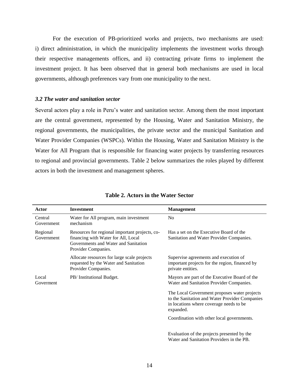For the execution of PB-prioritized works and projects, two mechanisms are used: i) direct administration, in which the municipality implements the investment works through their respective managements offices, and ii) contracting private firms to implement the investment project. It has been observed that in general both mechanisms are used in local governments, although preferences vary from one municipality to the next.

#### *3.2 The water and sanitation sector*

Several actors play a role in Peru's water and sanitation sector. Among them the most important are the central government, represented by the Housing, Water and Sanitation Ministry, the regional governments, the municipalities, the private sector and the municipal Sanitation and Water Provider Companies (WSPCs). Within the Housing, Water and Sanitation Ministry is the Water for All Program that is responsible for financing water projects by transferring resources to regional and provincial governments. Table 2 below summarizes the roles played by different actors in both the investment and management spheres.

| Actor                  | <b>Investment</b>                                                                                                                                    | <b>Management</b>                                                                                                                                      |
|------------------------|------------------------------------------------------------------------------------------------------------------------------------------------------|--------------------------------------------------------------------------------------------------------------------------------------------------------|
| Central<br>Government  | Water for All program, main investment<br>mechanism                                                                                                  | N <sub>0</sub>                                                                                                                                         |
| Regional<br>Government | Resources for regional important projects, co-<br>financing with Water for All, Local<br>Governments and Water and Sanitation<br>Provider Companies. | Has a set on the Executive Board of the<br>Sanitation and Water Provider Companies.                                                                    |
|                        | Allocate resources for large scale projects<br>requested by the Water and Sanitation<br>Provider Companies.                                          | Supervise agreements and execution of<br>important projects for the region, financed by<br>private entities.                                           |
| Local<br>Goverment     | PB/Institutional Budget.                                                                                                                             | Mayors are part of the Executive Board of the<br>Water and Sanitation Provider Companies.                                                              |
|                        |                                                                                                                                                      | The Local Government proposes water projects<br>to the Sanitation and Water Provider Companies<br>in locations where coverage needs to be<br>expanded. |
|                        |                                                                                                                                                      | Coordination with other local governments.                                                                                                             |
|                        |                                                                                                                                                      | Evaluation of the projects presented by the<br>Water and Sanitation Providers in the PB.                                                               |

## **Table 2. Actors in the Water Sector**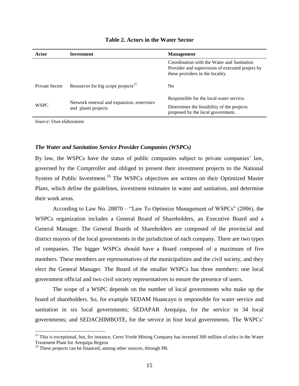| Actor          | <b>Investment</b>                                                | <b>Management</b>                                                                                                                 |
|----------------|------------------------------------------------------------------|-----------------------------------------------------------------------------------------------------------------------------------|
|                |                                                                  | Coordination with the Water and Sanitation<br>Provider and supervision of executed project by<br>these providers in the locality. |
| Private Sector | Resources for big scope projects <sup>15</sup>                   | No.                                                                                                                               |
|                |                                                                  | Responsible for the local water service.                                                                                          |
| <b>WSPC</b>    | Network renewal and expansion, reservoirs<br>and plants projects | Determines the feasibility of the projects<br>proposed by the local government.                                                   |

## **Table 2. Actors in the Water Sector**

*Source*: Own elaboration

<u>.</u>

#### *The Water and Sanitation Service Provider Companies (WSPCs)*

By law, the WSPCs have the status of public companies subject to private companies' law, governed by the Comptroller and obliged to present their investment projects to the National System of Public Investment.<sup>16</sup> The WSPCs objectives are written on their Optimized Master Plans, which define the guidelines, investment estimates in water and sanitation, and determine their work areas.

According to Law No. 28870 – "Law To Optimize Management of WSPCs" (2006), the WSPCs organization includes a General Board of Shareholders, an Executive Board and a General Manager. The General Boards of Shareholders are composed of the provincial and district mayors of the local governments in the jurisdiction of each company. There are two types of companies. The bigger WSPCs should have a Board composed of a maximum of five members. These members are representatives of the municipalities and the civil society, and they elect the General Manager. The Board of the smaller WSPCs has three members: one local government official and two civil society representatives to ensure the presence of users.

The scope of a WSPC depends on the number of local governments who make up the board of shareholders. So, for example SEDAM Huancayo is responsible for water service and sanitation in six local governments; SEDAPAR Arequipa, for the service in 34 local governments; and SEDACHIMBOTE, for the service in four local governments. The WSPCs'

<sup>&</sup>lt;sup>15</sup> This is exceptional, but, for instance, Cerro Verde Mining Company has invested 300 million of soles in the Water Treatment Plant for Arequipa Region.

<sup>&</sup>lt;sup>16</sup> These projects can be financed, among other sources, through PB.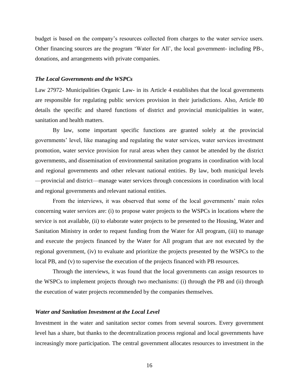budget is based on the company's resources collected from charges to the water service users. Other financing sources are the program 'Water for All', the local government- including PB-, donations, and arrangements with private companies.

#### *The Local Governments and the WSPCs*

Law 27972- Municipalities Organic Law- in its Article 4 establishes that the local governments are responsible for regulating public services provision in their jurisdictions. Also, Article 80 details the specific and shared functions of district and provincial municipalities in water, sanitation and health matters.

By law, some important specific functions are granted solely at the provincial governments' level, like managing and regulating the water services, water services investment promotion, water service provision for rural areas when they cannot be attended by the district governments, and dissemination of environmental sanitation programs in coordination with local and regional governments and other relevant national entities. By law, both municipal levels —provincial and district—manage water services through concessions in coordination with local and regional governments and relevant national entities.

From the interviews, it was observed that some of the local governments' main roles concerning water services are: (i) to propose water projects to the WSPCs in locations where the service is not available, (ii) to elaborate water projects to be presented to the Housing, Water and Sanitation Ministry in order to request funding from the Water for All program, (iii) to manage and execute the projects financed by the Water for All program that are not executed by the regional government, (iv) to evaluate and prioritize the projects presented by the WSPCs to the local PB, and (v) to supervise the execution of the projects financed with PB resources.

Through the interviews, it was found that the local governments can assign resources to the WSPCs to implement projects through two mechanisms: (i) through the PB and (ii) through the execution of water projects recommended by the companies themselves.

#### *Water and Sanitation Investment at the Local Level*

Investment in the water and sanitation sector comes from several sources. Every government level has a share, but thanks to the decentralization process regional and local governments have increasingly more participation. The central government allocates resources to investment in the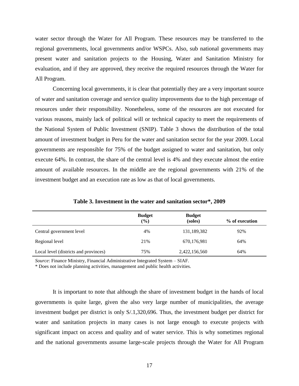water sector through the Water for All Program. These resources may be transferred to the regional governments, local governments and/or WSPCs. Also, sub national governments may present water and sanitation projects to the Housing, Water and Sanitation Ministry for evaluation, and if they are approved, they receive the required resources through the Water for All Program.

Concerning local governments, it is clear that potentially they are a very important source of water and sanitation coverage and service quality improvements due to the high percentage of resources under their responsibility. Nonetheless, some of the resources are not executed for various reasons, mainly lack of political will or technical capacity to meet the requirements of the National System of Public Investment (SNIP). Table 3 shows the distribution of the total amount of investment budget in Peru for the water and sanitation sector for the year 2009. Local governments are responsible for 75% of the budget assigned to water and sanitation, but only execute 64%. In contrast, the share of the central level is 4% and they execute almost the entire amount of available resources. In the middle are the regional governments with 21% of the investment budget and an execution rate as low as that of local governments.

|                                       | <b>Budget</b><br>(%) | <b>Budget</b><br>(soles) | % of execution |
|---------------------------------------|----------------------|--------------------------|----------------|
| Central government level              | 4%                   | 131,189,382              | 92%            |
| Regional level                        | 21%                  | 670,176,981              | 64%            |
| Local level (districts and provinces) | 75%                  | 2,422,156,560            | 64%            |

**Table 3. Investment in the water and sanitation sector\*, 2009**

*Source*: Finance Ministry, Financial Administrative Integrated System – SIAF.

\* Does not include planning activities, management and public health activities.

It is important to note that although the share of investment budget in the hands of local governments is quite large, given the also very large number of municipalities, the average investment budget per district is only S/.1,320,696. Thus, the investment budget per district for water and sanitation projects in many cases is not large enough to execute projects with significant impact on access and quality and of water service. This is why sometimes regional and the national governments assume large-scale projects through the Water for All Program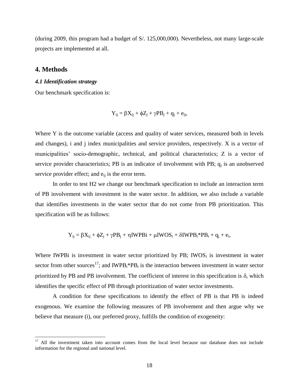(during 2009, this program had a budget of S/. 125,000,000). Nevertheless, not many large-scale projects are implemented at all.

## **4. Methods**

<u>.</u>

#### *4.1 Identification strategy*

Our benchmark specification is:

$$
Y_{ij} = \beta X_{ij} + \varphi Z_j + \gamma PB_j + q_j + e_{ij},
$$

Where Y is the outcome variable (access and quality of water services, measured both in levels and changes), i and j index municipalities and service providers, respectively. X is a vector of municipalities' socio-demographic, technical, and political characteristics; Z is a vector of service provider characteristics; PB is an indicator of involvement with PB;  $q_i$  is an unobserved service provider effect; and  $e_{ij}$  is the error term.

In order to test H2 we change our benchmark specification to include an interaction term of PB involvement with investment in the water sector. In addition, we also include a variable that identifies investments in the water sector that do not come from PB prioritization. This specification will be as follows:

$$
Y_{ij} = \beta X_{ij} + \varphi Z_j + \gamma PB_j + \eta IWPBi + \mu IWOS_i + \delta IWPB_i * PB_i + q_j + e_i,
$$

Where IWPBi is investment in water sector prioritized by PB; IWOS<sub>i</sub> is investment in water sector from other sources<sup>17</sup>; and IWPB<sub>i</sub>\*PB<sub>i</sub> is the interaction between investment in water sector prioritized by PB and PB involvement. The coefficient of interest in this specification is  $\delta$ , which identifies the specific effect of PB through prioritization of water sector investments.

A condition for these specifications to identify the effect of PB is that PB is indeed exogenous. We examine the following measures of PB involvement and then argue why we believe that measure (i), our preferred proxy, fulfills the condition of exogeneity:

<sup>&</sup>lt;sup>17</sup> All the investment taken into account comes from the local level because our database does not include information for the regional and national level.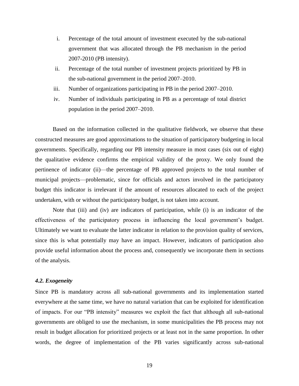- i. Percentage of the total amount of investment executed by the sub-national government that was allocated through the PB mechanism in the period 2007-2010 (PB intensity).
- ii. Percentage of the total number of investment projects prioritized by PB in the sub-national government in the period 2007–2010.
- iii. Number of organizations participating in PB in the period 2007–2010.
- iv. Number of individuals participating in PB as a percentage of total district population in the period 2007–2010.

Based on the information collected in the qualitative fieldwork, we observe that these constructed measures are good approximations to the situation of participatory budgeting in local governments. Specifically, regarding our PB intensity measure in most cases (six out of eight) the qualitative evidence confirms the empirical validity of the proxy. We only found the pertinence of indicator (ii)—the percentage of PB approved projects to the total number of municipal projects—problematic, since for officials and actors involved in the participatory budget this indicator is irrelevant if the amount of resources allocated to each of the project undertaken, with or without the participatory budget, is not taken into account.

Note that (iii) and (iv) are indicators of participation, while (i) is an indicator of the effectiveness of the participatory process in influencing the local government's budget. Ultimately we want to evaluate the latter indicator in relation to the provision quality of services, since this is what potentially may have an impact. However, indicators of participation also provide useful information about the process and, consequently we incorporate them in sections of the analysis.

## *4.2. Exogeneity*

Since PB is mandatory across all sub-national governments and its implementation started everywhere at the same time, we have no natural variation that can be exploited for identification of impacts. For our "PB intensity" measures we exploit the fact that although all sub-national governments are obliged to use the mechanism, in some municipalities the PB process may not result in budget allocation for prioritized projects or at least not in the same proportion. In other words, the degree of implementation of the PB varies significantly across sub-national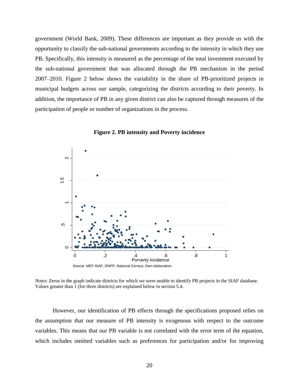government (World Bank, 2009). These differences are important as they provide us with the opportunity to classify the sub-national governments according to the intensity in which they use PB. Specifically, this intensity is measured as the percentage of the total investment executed by the sub-national government that was allocated through the PB mechanism in the period 2007–2010. Figure 2 below shows the variability in the share of PB-prioritized projects in municipal budgets across our sample, categorizing the districts according to their poverty. In addition, the importance of PB in any given district can also be captured through measures of the participation of people or number of organizations in the process.



**Figure 2. PB intensity and Poverty incidence**

*Notes*: Zeros in the graph indicate districts for which we were unable to identify PB projects in the SIAF database. Values greater than 1 (for three districts) are explained below in section 5.4.

However, our identification of PB effects through the specifications proposed relies on the assumption that our measure of PB intensity is exogenous with respect to the outcome variables. This means that our PB variable is not correlated with the error term of the equation, which includes omitted variables such as preferences for participation and/or for improving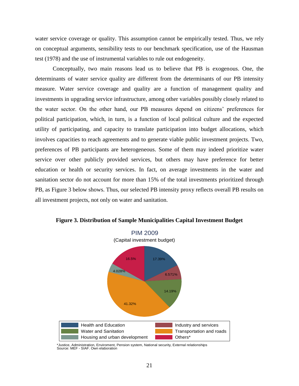water service coverage or quality. This assumption cannot be empirically tested. Thus, we rely on conceptual arguments, sensibility tests to our benchmark specification, use of the Hausman test (1978) and the use of instrumental variables to rule out endogeneity.

Conceptually, two main reasons lead us to believe that PB is exogenous. One, the determinants of water service quality are different from the determinants of our PB intensity measure. Water service coverage and quality are a function of management quality and investments in upgrading service infrastructure, among other variables possibly closely related to the water sector. On the other hand, our PB measures depend on citizens' preferences for political participation, which, in turn, is a function of local political culture and the expected utility of participating, and capacity to translate participation into budget allocations, which involves capacities to reach agreements and to generate viable public investment projects. Two, preferences of PB participants are heterogeneous. Some of them may indeed prioritize water service over other publicly provided services, but others may have preference for better education or health or security services. In fact, on average investments in the water and sanitation sector do not account for more than 15% of the total investments prioritized through PB, as Figure 3 below shows. Thus, our selected PB intensity proxy reflects overall PB results on all investment projects, not only on water and sanitation.



**Figure 3. Distribution of Sample Municipalities Capital Investment Budget**

\*Justice, Administration, Enviroment, Pension system, National security, External relationships Source: MEF - SIAF. Own elaboration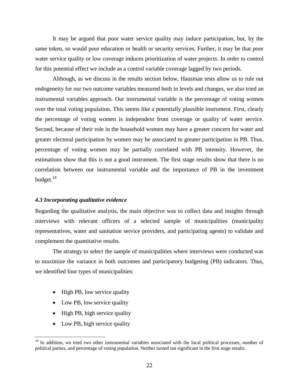It may be argued that poor water service quality may induce participation, but, by the same token, so would poor education or health or security services. Further, it may be that poor water service quality or low coverage induces prioritization of water projects. In order to control for this potential effect we include as a control variable coverage lagged by two periods.

Although, as we discuss in the results section below, Hausman tests allow us to rule out endogeneity for our two outcome variables measured both in levels and changes, we also tried an instrumental variables approach. Our instrumental variable is the percentage of voting women over the total voting population. This seems like a potentially plausible instrument. First, clearly the percentage of voting women is independent from coverage or quality of water service. Second, because of their role in the household women may have a greater concern for water and greater electoral participation by women may be associated to greater participation in PB. Thus, percentage of voting women may be partially correlated with PB intensity. However, the estimations show that this is not a good instrument. The first stage results show that there is no correlation between our instrumental variable and the importance of PB in the investment budget. $18$ 

#### *4.3 Incorporating qualitative evidence*

Regarding the qualitative analysis, the main objective was to collect data and insights through interviews with relevant officers of a selected sample of municipalities (municipality representatives, water and sanitation service providers, and participating agents) to validate and complement the quantitative results.

The strategy to select the sample of municipalities where interviews were conducted was to maximize the variance in both outcomes and participatory budgeting (PB) indicators. Thus, we identified four types of municipalities:

- High PB, low service quality
- Low PB, low service quality
- $\bullet$  High PB, high service quality
- Low PB, high service quality

<u>.</u>

<sup>&</sup>lt;sup>18</sup> In addition, we tried two other instrumental variables associated with the local political processes, number of political parties, and percentage of voting population. Neither turned out significant in the first stage results.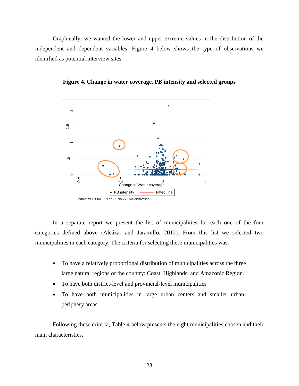Graphically, we wanted the lower and upper extreme values in the distribution of the independent and dependent variables. Figure 4 below shows the type of observations we identified as potential interview sites.



**Figure 4. Change in water coverage, PB intensity and selected groups**

In a separate report we present the list of municipalities for each one of the four categories defined above (Alcázar and Jaramillo, 2012). From this list we selected two municipalities in each category. The criteria for selecting these municipalities was:

- To have a relatively proportional distribution of municipalities across the three large natural regions of the country: Coast, Highlands, and Amazonic Region.
- To have both district-level and provincial-level municipalities
- To have both municipalities in large urban centers and smaller urbanperiphery areas.

Following these criteria, Table 4 below presents the eight municipalities chosen and their main characteristics.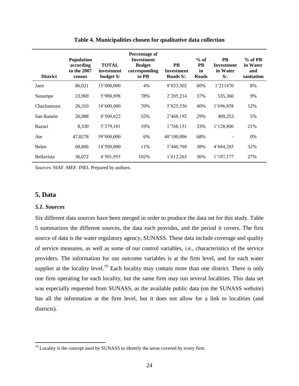| <b>District</b> | <b>Population</b><br>according<br>to the 2007<br>census | <b>TOTAL</b><br>investment<br>budget S/ | Percentage of<br><b>Investment</b><br><b>Budget</b><br>corresponding<br>to PB | <b>PB</b><br><b>Investment</b><br>Roads S/. | $%$ of<br><b>PB</b><br>in<br><b>Roads</b> | <b>PB</b><br><b>Investment</b><br>in Water<br>$S$ /. | $%$ of PB<br>in Water<br>and<br>sanitation |
|-----------------|---------------------------------------------------------|-----------------------------------------|-------------------------------------------------------------------------------|---------------------------------------------|-------------------------------------------|------------------------------------------------------|--------------------------------------------|
| Jaen            | 86,021                                                  | 15'000,000                              | 4%                                                                            | 9'033,302                                   | 60%                                       | 1'211470                                             | 8%                                         |
| Sunampe         | 23,969                                                  | 5'900,898                               | 78%                                                                           | 2'205,214                                   | 37%                                       | 535,360                                              | 9%                                         |
| Chachamayo      | 26,310                                                  | 14'600,000                              | 70%                                                                           | 5'825,536                                   | 40%                                       | 1'696,858                                            | 12%                                        |
| San Ramón       | 26,088                                                  | 8'500,622                               | 55%                                                                           | 2'468,192                                   | 29%                                       | 409,253                                              | 5%                                         |
| Razuri          | 8,330                                                   | 5'379,101                               | 19%                                                                           | 1'768,151                                   | 33%                                       | 1'128,806                                            | 21%                                        |
| Ate             | 47,8278                                                 | 59'000,000                              | 6%                                                                            | 40'100,006                                  | 68%                                       |                                                      | 0%                                         |
| Belen           | 68,806                                                  | 14'500,000                              | 11%                                                                           | 5'440,768                                   | 38%                                       | 4'684,285                                            | 32%                                        |
| Bellavista      | 36,072                                                  | 4'501,955                               | 102%                                                                          | 1'612,263                                   | 36%                                       | 1'197,177                                            | 27%                                        |

#### **Table 4. Municipalities chosen for qualitative data collection**

*Sources*: SIAF. MEF. INEI. Prepared by authors.

# **5. Data**

1

#### *5.1. Sources*

Six different data sources have been merged in order to produce the data set for this study. Table 5 summarizes the different sources, the data each provides, and the period it covers. The first source of data is the water regulatory agency, SUNASS. These data include coverage and quality of service measures, as well as some of our control variables, i.e., characteristics of the service providers. The information for our outcome variables is at the firm level, and for each water supplier at the locality level.<sup>19</sup> Each locality may contain more than one district. There is only one firm operating for each locality, but the same firm may run several localities. This data set was especially requested from SUNASS, as the available public data (on the SUNASS website) has all the information at the firm level, but it does not allow for a link to localities (and districts).

 $19$  Locality is the concept used by SUNASS to identify the areas covered by every firm.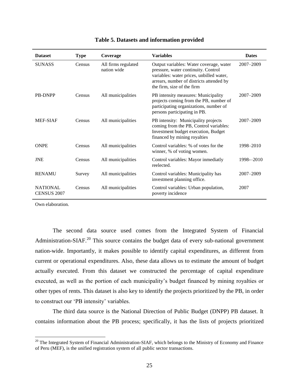| <b>Dataset</b>                        | <b>Type</b> | Coverage                           | <b>Variables</b>                                                                                                                                                                                     | <b>Dates</b>  |
|---------------------------------------|-------------|------------------------------------|------------------------------------------------------------------------------------------------------------------------------------------------------------------------------------------------------|---------------|
| <b>SUNASS</b>                         | Census      | All firms regulated<br>nation wide | Output variables: Water coverage, water<br>pressure, water continuity. Control<br>variables: water prices, unbilled water,<br>arrears, number of districts attended by<br>the firm, size of the firm | 2007-2009     |
| <b>PB-DNPP</b>                        | Census      | All municipalities                 | PB intensity measures: Municipality<br>projects coming from the PB, number of<br>participating organizations, number of<br>persons participating in PB.                                              | 2007-2009     |
| <b>MEF-SIAF</b>                       | Census      | All municipalities                 | PB intensity: Municipality projects<br>coming from the PB, Control variables:<br>Investment budget execution, Budget<br>financed by mining royalties                                                 | $2007 - 2009$ |
| <b>ONPE</b>                           | Census      | All municipalities                 | Control variables: % of votes for the<br>winner, % of voting women.                                                                                                                                  | 1998-2010     |
| <b>JNE</b>                            | Census      | All municipalities                 | Control variables: Mayor inmediatly<br>reelected.                                                                                                                                                    | 1998-2010     |
| <b>RENAMU</b>                         | Survey      | All municipalities                 | Control variables: Municipality has<br>investment planning office.                                                                                                                                   | $2007 - 2009$ |
| <b>NATIONAL</b><br><b>CENSUS 2007</b> | Census      | All municipalities                 | Control variables: Urban population,<br>poverty incidence                                                                                                                                            | 2007          |

#### **Table 5. Datasets and information provided**

Own elaboration.

<u>.</u>

The second data source used comes from the Integrated System of Financial Administration-SIAF.<sup>20</sup> This source contains the budget data of every sub-national government nation-wide. Importantly, it makes possible to identify capital expenditures, as different from current or operational expenditures. Also, these data allows us to estimate the amount of budget actually executed. From this dataset we constructed the percentage of capital expenditure executed, as well as the portion of each municipality's budget financed by mining royalties or other types of rents. This dataset is also key to identify the projects prioritized by the PB, in order to construct our 'PB intensity' variables.

The third data source is the National Direction of Public Budget (DNPP) PB dataset. It contains information about the PB process; specifically, it has the lists of projects prioritized

<sup>&</sup>lt;sup>20</sup> The Integrated System of Financial Administration-SIAF, which belongs to the Ministry of Economy and Finance of Peru (MEF), is the unified registration system of all public sector transactions.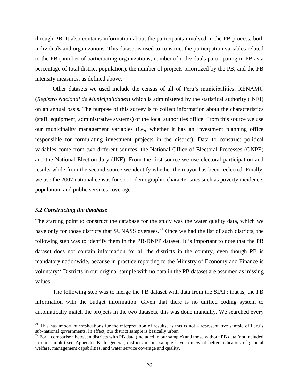through PB. It also contains information about the participants involved in the PB process, both individuals and organizations. This dataset is used to construct the participation variables related to the PB (number of participating organizations, number of individuals participating in PB as a percentage of total district population), the number of projects prioritized by the PB, and the PB intensity measures, as defined above.

Other datasets we used include the census of all of Peru's municipalities, RENAMU (*Registro Nacional de Municipalidades*) which is administered by the statistical authority (INEI) on an annual basis. The purpose of this survey is to collect information about the characteristics (staff, equipment, administrative systems) of the local authorities office. From this source we use our municipality management variables (i.e., whether it has an investment planning office responsible for formulating investment projects in the district). Data to construct political variables come from two different sources: the National Office of Electoral Processes (ONPE) and the National Election Jury (JNE). From the first source we use electoral participation and results while from the second source we identify whether the mayor has been reelected. Finally, we use the 2007 national census for socio-demographic characteristics such as poverty incidence, population, and public services coverage.

#### *5.2 Constructing the database*

<u>.</u>

The starting point to construct the database for the study was the water quality data, which we have only for those districts that SUNASS oversees.<sup>21</sup> Once we had the list of such districts, the following step was to identify them in the PB-DNPP dataset. It is important to note that the PB dataset does not contain information for all the districts in the country, even though PB is mandatory nationwide, because in practice reporting to the Ministry of Economy and Finance is voluntary<sup>22</sup> Districts in our original sample with no data in the PB dataset are assumed as missing values.

The following step was to merge the PB dataset with data from the SIAF; that is, the PB information with the budget information. Given that there is no unified coding system to automatically match the projects in the two datasets, this was done manually. We searched every

 $21$  This has important implications for the interpretation of results, as this is not a representative sample of Peru's sub-national governments. In effect, our district sample is basically urban.

 $22$  For a comparison between districts with PB data (included in our sample) and those without PB data (not included in our sample) see Appendix B. In general, districts in our sample have somewhat better indicators of general welfare, management capabilities, and water service coverage and quality.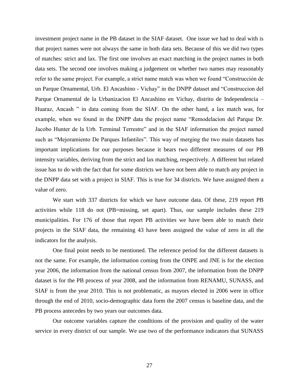investment project name in the PB dataset in the SIAF dataset. One issue we had to deal with is that project names were not always the same in both data sets. Because of this we did two types of matches: strict and lax. The first one involves an exact matching in the project names in both data sets. The second one involves making a judgement on whether two names may reasonably refer to the same project. For example, a strict name match was when we found "Construcción de un Parque Ornamental, Urb. El Ancashino - Vichay" in the DNPP dataset and "Construccion del Parque Ornamental de la Urbanizacion El Ancashino en Vichay, distrito de Independencia – Huaraz, Ancash " in data coming from the SIAF. On the other hand, a lax match was, for example, when we found in the DNPP data the project name "Remodelacion del Parque Dr. Jacobo Hunter de la Urb. Terminal Terrestre" and in the SIAF information the project named such as "Mejoramiento De Parques Infantiles". This way of merging the two main datasets has important implications for our purposes because it bears two different measures of our PB intensity variables, deriving from the strict and lax matching, respectively. A different but related issue has to do with the fact that for some districts we have not been able to match any project in the DNPP data set with a project in SIAF. This is true for 34 districts. We have assigned them a value of zero.

We start with 337 districts for which we have outcome data. Of these, 219 report PB activities while 118 do not (PB=missing, set apart). Thus, our sample includes these 219 municipalities. For 176 of those that report PB activities we have been able to match their projects in the SIAF data, the remaining 43 have been assigned the value of zero in all the indicators for the analysis.

One final point needs to be mentioned. The reference period for the different datasets is not the same. For example, the information coming from the ONPE and JNE is for the election year 2006, the information from the national census from 2007, the information from the DNPP dataset is for the PB process of year 2008, and the information from RENAMU, SUNASS, and SIAF is from the year 2010. This is not problematic, as mayors elected in 2006 were in office through the end of 2010, socio-demographic data form the 2007 census is baseline data, and the PB process antecedes by two years our outcomes data.

Our outcome variables capture the conditions of the provision and quality of the water service in every district of our sample. We use two of the performance indicators that SUNASS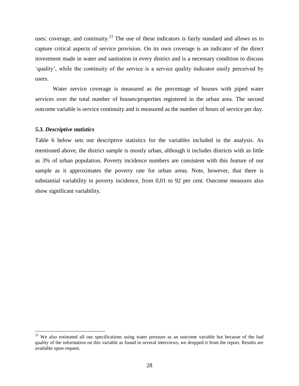uses: coverage, and continuity.<sup>23</sup> The use of these indicators is fairly standard and allows us to capture critical aspects of service provision. On its own coverage is an indicator of the direct investment made in water and sanitation in every district and is a necessary condition to discuss ‗quality', while the continuity of the service is a service quality indicator easily perceived by users.

Water service coverage is measured as the percentage of houses with piped water services over the total number of houses/properties registered in the urban area. The second outcome variable is service continuity and is measured as the number of hours of service per day.

#### *5.3. Descriptive statistics*

<u>.</u>

Table 6 below sets out descriptive statistics for the variables included in the analysis. As mentioned above, the district sample is mostly urban, although it includes districts with as little as 3% of urban population. Poverty incidence numbers are consistent with this feature of our sample as it approximates the poverty rate for urban areas. Note, however, that there is substantial variability in poverty incidence, from 0,01 to 92 per cent. Outcome measures also show significant variability.

<sup>&</sup>lt;sup>23</sup> We also estimated all our specifications using water pressure as an outcome variable but because of the bad quality of the information on this variable as found in several interviews, we dropped it from the report. Results are available upon request.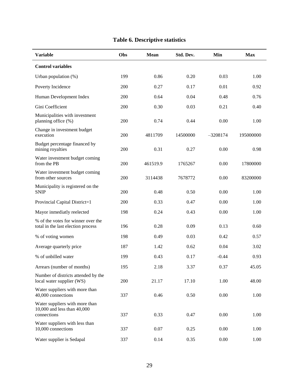| <b>Variable</b>                                                              | Obs | <b>Mean</b> | Std. Dev. | Min        | <b>Max</b> |
|------------------------------------------------------------------------------|-----|-------------|-----------|------------|------------|
| <b>Control variables</b>                                                     |     |             |           |            |            |
| Urban population $(\%)$                                                      | 199 | 0.86        | 0.20      | 0.03       | 1.00       |
| Poverty Incidence                                                            | 200 | 0.27        | 0.17      | 0.01       | 0.92       |
| Human Development Index                                                      | 200 | 0.64        | 0.04      | 0.48       | 0.76       |
| Gini Coefficient                                                             | 200 | 0.30        | 0.03      | 0.21       | 0.40       |
| Municipalities with investment<br>planning office (%)                        | 200 | 0.74        | 0.44      | 0.00       | 1.00       |
| Change in investment budget<br>execution                                     | 200 | 4811709     | 14500000  | $-3208174$ | 195000000  |
| Budget percentage financed by<br>mining royalties                            | 200 | 0.31        | 0.27      | 0.00       | 0.98       |
| Water investment budget coming<br>from the PB                                | 200 | 461519.9    | 1765267   | 0.00       | 17800000   |
| Water investment budget coming<br>from other sources                         | 200 | 3114438     | 7678772   | 0.00       | 83200000   |
| Municipality is registered on the<br><b>SNIP</b>                             | 200 | 0.48        | 0.50      | 0.00       | 1.00       |
| Provincial Capital District=1                                                | 200 | 0.33        | 0.47      | 0.00       | 1.00       |
| Mayor inmediatly reelected                                                   | 198 | 0.24        | 0.43      | 0.00       | 1.00       |
| % of the votes for winner over the<br>total in the last election process     | 196 | 0.28        | 0.09      | 0.13       | 0.60       |
| % of voting women                                                            | 198 | 0.49        | 0.03      | 0.42       | 0.57       |
| Average quarterly price                                                      | 187 | 1.42        | 0.62      | 0.04       | 3.02       |
| % of unbilled water                                                          | 199 | 0.43        | 0.17      | $-0.44$    | 0.93       |
| Arrears (number of months)                                                   | 195 | 2.18        | 3.37      | 0.37       | 45.05      |
| Number of districts attended by the<br>local water supplier (WS)             | 200 | 21.17       | 17.10     | 1.00       | 48.00      |
| Water suppliers with more than<br>40,000 connections                         | 337 | 0.46        | 0.50      | 0.00       | 1.00       |
| Water suppliers with more than<br>10,000 and less than 40,000<br>connections | 337 | 0.33        | 0.47      | 0.00       | 1.00       |
| Water suppliers with less than<br>10,000 connections                         | 337 | 0.07        | 0.25      | 0.00       | 1.00       |
| Water supplier is Sedapal                                                    | 337 | 0.14        | 0.35      | 0.00       | 1.00       |

# **Table 6. Descriptive statistics**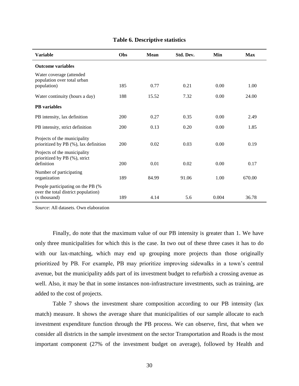| <b>Mean</b>                                          | Std. Dev.              | Min  | <b>Max</b> |
|------------------------------------------------------|------------------------|------|------------|
|                                                      |                        |      |            |
| 0.77                                                 | 0.21                   | 0.00 | 1.00       |
|                                                      | 7.32                   | 0.00 | 24.00      |
|                                                      |                        |      |            |
| 0.27                                                 | 0.35                   | 0.00 | 2.49       |
| 0.13                                                 | 0.20                   | 0.00 | 1.85       |
| 0.02                                                 | 0.03                   | 0.00 | 0.19       |
| 0.01                                                 | 0.02                   | 0.00 | 0.17       |
|                                                      | 91.06                  | 1.00 | 670.00     |
|                                                      |                        |      | 36.78      |
| 185<br>188<br>200<br>200<br>200<br>200<br>189<br>189 | 15.52<br>84.99<br>4.14 | 5.6  | 0.004      |

#### **Table 6. Descriptive statistics**

*Source*: All datasets. Own elaboration

Finally, do note that the maximum value of our PB intensity is greater than 1. We have only three municipalities for which this is the case. In two out of these three cases it has to do with our lax-matching, which may end up grouping more projects than those originally prioritized by PB. For example, PB may prioritize improving sidewalks in a town's central avenue, but the municipality adds part of its investment budget to refurbish a crossing avenue as well. Also, it may be that in some instances non-infrastructure investments, such as training, are added to the cost of projects.

Table 7 shows the investment share composition according to our PB intensity (lax match) measure. It shows the average share that municipalities of our sample allocate to each investment expenditure function through the PB process. We can observe, first, that when we consider all districts in the sample investment on the sector Transportation and Roads is the most important component (27% of the investment budget on average), followed by Health and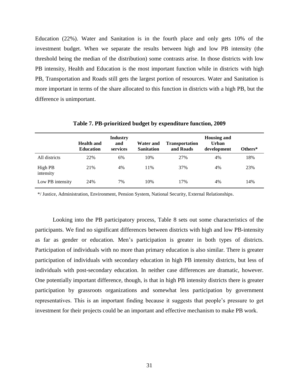Education (22%). Water and Sanitation is in the fourth place and only gets 10% of the investment budget. When we separate the results between high and low PB intensity (the threshold being the median of the distribution) some contrasts arise. In those districts with low PB intensity, Health and Education is the most important function while in districts with high PB, Transportation and Roads still gets the largest portion of resources. Water and Sanitation is more important in terms of the share allocated to this function in districts with a high PB, but the difference is unimportant.

|                      | <b>Health and</b><br><b>Education</b> | <b>Industry</b><br>and<br>services | Water and<br><b>Sanitation</b> | <b>Transportation</b><br>and Roads | <b>Housing and</b><br>Urban<br>development | Others* |
|----------------------|---------------------------------------|------------------------------------|--------------------------------|------------------------------------|--------------------------------------------|---------|
| All districts        | 22%                                   | 6%                                 | 10%                            | 27%                                | 4%                                         | 18%     |
| High PB<br>intensity | 21%                                   | 4%                                 | 11%                            | 37%                                | 4%                                         | 23%     |
| Low PB intensity     | 24%                                   | 7%                                 | 10%                            | 17%                                | 4%                                         | 14%     |

**Table 7. PB-prioritized budget by expenditure function, 2009**

\*/ Justice, Administration, Environment, Pension System, National Security, External Relationships.

Looking into the PB participatory process, Table 8 sets out some characteristics of the participants. We find no significant differences between districts with high and low PB-intensity as far as gender or education. Men's participation is greater in both types of districts. Participation of individuals with no more than primary education is also similar. There is greater participation of individuals with secondary education in high PB intensity districts, but less of individuals with post-secondary education. In neither case differences are dramatic, however. One potentially important difference, though, is that in high PB intensity districts there is greater participation by grassroots organizations and somewhat less participation by government representatives. This is an important finding because it suggests that people's pressure to get investment for their projects could be an important and effective mechanism to make PB work.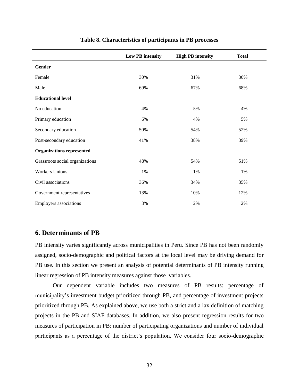|                                  | Low PB intensity | <b>High PB</b> intensity | <b>Total</b> |
|----------------------------------|------------------|--------------------------|--------------|
| Gender                           |                  |                          |              |
| Female                           | 30%              | 31%                      | 30%          |
| Male                             | 69%              | 67%                      | 68%          |
| <b>Educational level</b>         |                  |                          |              |
| No education                     | 4%               | 5%                       | 4%           |
| Primary education                | 6%               | 4%                       | 5%           |
| Secondary education              | 50%              | 54%                      | 52%          |
| Post-secondary education         | 41%              | 38%                      | 39%          |
| <b>Organizations represented</b> |                  |                          |              |
| Grassroots social organizations  | 48%              | 54%                      | 51%          |
| <b>Workers Unions</b>            | 1%               | 1%                       | 1%           |
| Civil associations               | 36%              | 34%                      | 35%          |
| Government representatives       | 13%              | 10%                      | 12%          |
| <b>Employers</b> associations    | 3%               | $2\%$                    | 2%           |

## **Table 8. Characteristics of participants in PB processes**

# **6. Determinants of PB**

PB intensity varies significantly across municipalities in Peru. Since PB has not been randomly assigned, socio-demographic and political factors at the local level may be driving demand for PB use. In this section we present an analysis of potential determinants of PB intensity running linear regression of PB intensity measures against those variables.

Our dependent variable includes two measures of PB results: percentage of municipality's investment budget prioritized through PB, and percentage of investment projects prioritized through PB. As explained above, we use both a strict and a lax definition of matching projects in the PB and SIAF databases. In addition, we also present regression results for two measures of participation in PB: number of participating organizations and number of individual participants as a percentage of the district's population. We consider four socio-demographic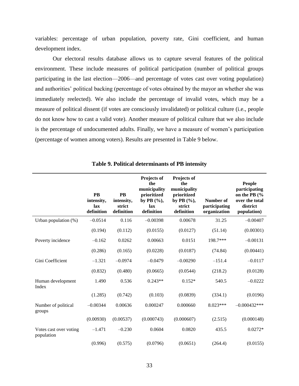variables: percentage of urban population, poverty rate, Gini coefficient, and human development index.

Our electoral results database allows us to capture several features of the political environment. These include measures of political participation (number of political groups participating in the last election—2006—and percentage of votes cast over voting population) and authorities' political backing (percentage of votes obtained by the mayor an whether she was immediately reelected). We also include the percentage of invalid votes, which may be a measure of political dissent (if votes are consciously invalidated) or political culture (i.e., people do not know how to cast a valid vote). Another measure of political culture that we also include is the percentage of undocumented adults. Finally, we have a measure of women's participation (percentage of women among voters). Results are presented in Table 9 below.

|                                      | <b>PB</b><br>intensity,<br>lax<br>definition | <b>PB</b><br>intensity,<br>strict<br>definition | Projects of<br>the<br>municipality<br>prioritized<br>by PB $(%),$<br>lax<br>definition | Projects of<br>the<br>municipality<br>prioritized<br>by PB $(%),$<br>strict<br>definition | Number of<br>participating<br>organization | People<br>participating<br>on the PB (%<br>over the total<br>district<br>population) |
|--------------------------------------|----------------------------------------------|-------------------------------------------------|----------------------------------------------------------------------------------------|-------------------------------------------------------------------------------------------|--------------------------------------------|--------------------------------------------------------------------------------------|
| Urban population $(\%)$              | $-0.0514$                                    | 0.116                                           | $-0.00398$                                                                             | 0.00678                                                                                   | 31.25                                      | $-0.00407$                                                                           |
|                                      | (0.194)                                      | (0.112)                                         | (0.0155)                                                                               | (0.0127)                                                                                  | (51.14)                                    | (0.00301)                                                                            |
| Poverty incidence                    | $-0.162$                                     | 0.0262                                          | 0.00663                                                                                | 0.0151                                                                                    | 198.7***                                   | $-0.00131$                                                                           |
|                                      | (0.286)                                      | (0.165)                                         | (0.0228)                                                                               | (0.0187)                                                                                  | (74.84)                                    | (0.00441)                                                                            |
| Gini Coefficient                     | $-1.321$                                     | $-0.0974$                                       | $-0.0479$                                                                              | $-0.00290$                                                                                | $-151.4$                                   | $-0.0117$                                                                            |
|                                      | (0.832)                                      | (0.480)                                         | (0.0665)                                                                               | (0.0544)                                                                                  | (218.2)                                    | (0.0128)                                                                             |
| Human development<br>Index           | 1.490                                        | 0.536                                           | $0.243**$                                                                              | $0.152*$                                                                                  | 540.5                                      | $-0.0222$                                                                            |
|                                      | (1.285)                                      | (0.742)                                         | (0.103)                                                                                | (0.0839)                                                                                  | (334.1)                                    | (0.0196)                                                                             |
| Number of political<br>groups        | $-0.00344$                                   | 0.00636                                         | 0.000247                                                                               | 0.000660                                                                                  | 8.023***                                   | $-0.000432***$                                                                       |
|                                      | (0.00930)                                    | (0.00537)                                       | (0.000743)                                                                             | (0.000607)                                                                                | (2.515)                                    | (0.000148)                                                                           |
| Votes cast over voting<br>population | $-1.471$                                     | $-0.230$                                        | 0.0604                                                                                 | 0.0820                                                                                    | 435.5                                      | $0.0272*$                                                                            |
|                                      | (0.996)                                      | (0.575)                                         | (0.0796)                                                                               | (0.0651)                                                                                  | (264.4)                                    | (0.0155)                                                                             |

**Table 9. Political determinants of PB intensity**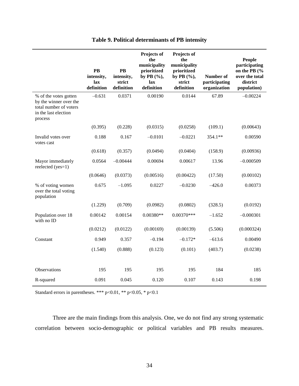|                                                                                                              | <b>PB</b><br>intensity,<br>lax<br>definition | <b>PB</b><br>intensity,<br>strict<br>definition | Projects of<br>the<br>municipality<br>prioritized<br>by PB $(%),$<br>lax<br>definition | Projects of<br>the<br>municipality<br>prioritized<br>by PB $(%),$<br>strict<br>definition | <b>Number of</b><br>participating<br>organization | <b>People</b><br>participating<br>on the PB (%<br>over the total<br>district<br>population) |
|--------------------------------------------------------------------------------------------------------------|----------------------------------------------|-------------------------------------------------|----------------------------------------------------------------------------------------|-------------------------------------------------------------------------------------------|---------------------------------------------------|---------------------------------------------------------------------------------------------|
| % of the votes gotten<br>by the winner over the<br>total number of voters<br>in the last election<br>process | $-0.631$                                     | 0.0371                                          | 0.00190                                                                                | 0.0144                                                                                    | 67.89                                             | $-0.00224$                                                                                  |
|                                                                                                              | (0.395)                                      | (0.228)                                         | (0.0315)                                                                               | (0.0258)                                                                                  | (109.1)                                           | (0.00643)                                                                                   |
| Invalid votes over<br>votes cast                                                                             | 0.188                                        | 0.167                                           | $-0.0101$                                                                              | $-0.0221$                                                                                 | 354.1**                                           | 0.00590                                                                                     |
|                                                                                                              | (0.618)                                      | (0.357)                                         | (0.0494)                                                                               | (0.0404)                                                                                  | (158.9)                                           | (0.00936)                                                                                   |
| Mayor immediately<br>reelected (yes=1)                                                                       | 0.0564                                       | $-0.00444$                                      | 0.00694                                                                                | 0.00617                                                                                   | 13.96                                             | $-0.000509$                                                                                 |
|                                                                                                              | (0.0646)                                     | (0.0373)                                        | (0.00516)                                                                              | (0.00422)                                                                                 | (17.50)                                           | (0.00102)                                                                                   |
| % of voting women<br>over the total voting<br>population                                                     | 0.675                                        | $-1.095$                                        | 0.0227                                                                                 | $-0.0230$                                                                                 | $-426.0$                                          | 0.00373                                                                                     |
|                                                                                                              | (1.229)                                      | (0.709)                                         | (0.0982)                                                                               | (0.0802)                                                                                  | (328.5)                                           | (0.0192)                                                                                    |
| Population over 18<br>with no ID                                                                             | 0.00142                                      | 0.00154                                         | $0.00380**$                                                                            | $0.00370***$                                                                              | $-1.652$                                          | $-0.000301$                                                                                 |
|                                                                                                              | (0.0212)                                     | (0.0122)                                        | (0.00169)                                                                              | (0.00139)                                                                                 | (5.506)                                           | (0.000324)                                                                                  |
| Constant                                                                                                     | 0.949                                        | 0.357                                           | $-0.194$                                                                               | $-0.172*$                                                                                 | $-613.6$                                          | 0.00490                                                                                     |
|                                                                                                              | (1.540)                                      | (0.888)                                         | (0.123)                                                                                | (0.101)                                                                                   | (403.7)                                           | (0.0238)                                                                                    |
| Observations                                                                                                 | 195                                          | 195                                             | 195                                                                                    | 195                                                                                       | 184                                               | 185                                                                                         |
| R-squared                                                                                                    | 0.091                                        | 0.045                                           | 0.120                                                                                  | 0.107                                                                                     | 0.143                                             | 0.198                                                                                       |

**Table 9. Political determinants of PB intensity**

Standard errors in parentheses. \*\*\*  $p<0.01$ , \*\*  $p<0.05$ , \*  $p<0.1$ 

Three are the main findings from this analysis. One, we do not find any strong systematic correlation between socio-demographic or political variables and PB results measures.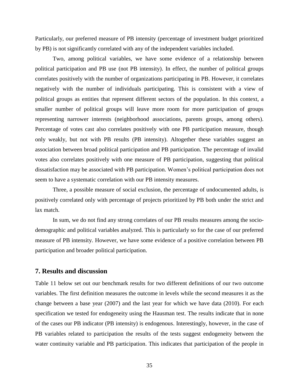Particularly, our preferred measure of PB intensity (percentage of investment budget prioritized by PB) is not significantly correlated with any of the independent variables included.

Two, among political variables, we have some evidence of a relationship between political participation and PB use (not PB intensity). In effect, the number of political groups correlates positively with the number of organizations participating in PB. However, it correlates negatively with the number of individuals participating. This is consistent with a view of political groups as entities that represent different sectors of the population. In this context, a smaller number of political groups will leave more room for more participation of groups representing narrower interests (neighborhood associations, parents groups, among others). Percentage of votes cast also correlates positively with one PB participation measure, though only weakly, but not with PB results (PB intensity). Altogether these variables suggest an association between broad political participation and PB participation. The percentage of invalid votes also correlates positively with one measure of PB participation, suggesting that political dissatisfaction may be associated with PB participation. Women's political participation does not seem to have a systematic correlation with our PB intensity measures.

Three, a possible measure of social exclusion, the percentage of undocumented adults, is positively correlated only with percentage of projects prioritized by PB both under the strict and lax match.

In sum, we do not find any strong correlates of our PB results measures among the sociodemographic and political variables analyzed. This is particularly so for the case of our preferred measure of PB intensity. However, we have some evidence of a positive correlation between PB participation and broader political participation.

## **7. Results and discussion**

Table 11 below set out our benchmark results for two different definitions of our two outcome variables. The first definition measures the outcome in levels while the second measures it as the change between a base year (2007) and the last year for which we have data (2010). For each specification we tested for endogeneity using the Hausman test. The results indicate that in none of the cases our PB indicator (PB intensity) is endogenous. Interestingly, however, in the case of PB variables related to participation the results of the tests suggest endogeneity between the water continuity variable and PB participation. This indicates that participation of the people in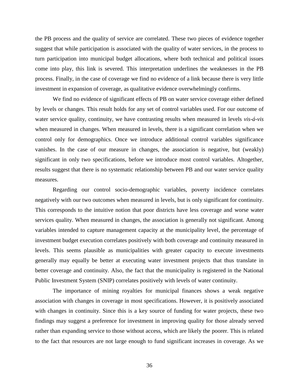the PB process and the quality of service are correlated. These two pieces of evidence together suggest that while participation is associated with the quality of water services, in the process to turn participation into municipal budget allocations, where both technical and political issues come into play, this link is severed. This interpretation underlines the weaknesses in the PB process. Finally, in the case of coverage we find no evidence of a link because there is very little investment in expansion of coverage, as qualitative evidence overwhelmingly confirms.

We find no evidence of significant effects of PB on water service coverage either defined by levels or changes. This result holds for any set of control variables used. For our outcome of water service quality, continuity, we have contrasting results when measured in levels *vis-á-vis* when measured in changes. When measured in levels, there is a significant correlation when we control only for demographics. Once we introduce additional control variables significance vanishes. In the case of our measure in changes, the association is negative, but (weakly) significant in only two specifications, before we introduce most control variables. Altogether, results suggest that there is no systematic relationship between PB and our water service quality measures.

Regarding our control socio-demographic variables, poverty incidence correlates negatively with our two outcomes when measured in levels, but is only significant for continuity. This corresponds to the intuitive notion that poor districts have less coverage and worse water services quality. When measured in changes, the association is generally not significant. Among variables intended to capture management capacity at the municipality level, the percentage of investment budget execution correlates positively with both coverage and continuity measured in levels. This seems plausible as municipalities with greater capacity to execute investments generally may equally be better at executing water investment projects that thus translate in better coverage and continuity. Also, the fact that the municipality is registered in the National Public Investment System (SNIP) correlates positively with levels of water continuity.

The importance of mining royalties for municipal finances shows a weak negative association with changes in coverage in most specifications. However, it is positively associated with changes in continuity. Since this is a key source of funding for water projects, these two findings may suggest a preference for investment in improving quality for those already served rather than expanding service to those without access, which are likely the poorer. This is related to the fact that resources are not large enough to fund significant increases in coverage. As we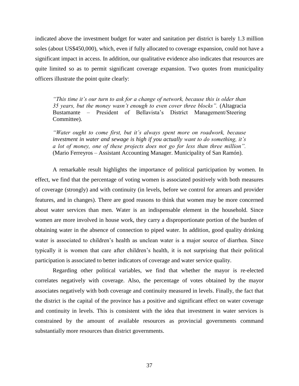indicated above the investment budget for water and sanitation per district is barely 1.3 million soles (about US\$450,000), which, even if fully allocated to coverage expansion, could not have a significant impact in access. In addition, our qualitative evidence also indicates that resources are quite limited so as to permit significant coverage expansion. Two quotes from municipality officers illustrate the point quite clearly:

*"This time it's our turn to ask for a change of network, because this is older than 35 years, but the money wasn't enough to even cover three blocks".* (Altagracia Bustamante – President of Bellavista's District Management/Steering Committee).

*"Water ought to come first, but it's always spent more on roadwork, because investment in water and sewage is high if you actually want to do something, it's a lot of money, one of these projects does not go for less than three million".*  (Mario Ferreyros – Assistant Accounting Manager. Municipality of San Ramón).

A remarkable result highlights the importance of political participation by women. In effect, we find that the percentage of voting women is associated positively with both measures of coverage (strongly) and with continuity (in levels, before we control for arrears and provider features, and in changes). There are good reasons to think that women may be more concerned about water services than men. Water is an indispensable element in the household. Since women are more involved in house work, they carry a disproportionate portion of the burden of obtaining water in the absence of connection to piped water. In addition, good quality drinking water is associated to children's health as unclean water is a major source of diarrhea. Since typically it is women that care after children's health, it is not surprising that their political participation is associated to better indicators of coverage and water service quality.

Regarding other political variables, we find that whether the mayor is re-elected correlates negatively with coverage. Also, the percentage of votes obtained by the mayor associates negatively with both coverage and continuity measured in levels. Finally, the fact that the district is the capital of the province has a positive and significant effect on water coverage and continuity in levels. This is consistent with the idea that investment in water services is constrained by the amount of available resources as provincial governments command substantially more resources than district governments.

37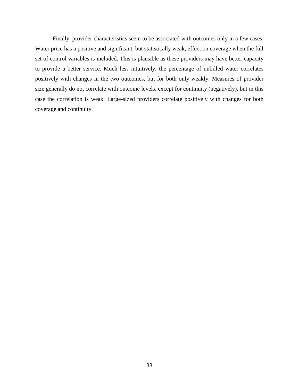Finally, provider characteristics seem to be associated with outcomes only in a few cases. Water price has a positive and significant, but statistically weak, effect on coverage when the full set of control variables is included. This is plausible as these providers may have better capacity to provide a better service. Much less intuitively, the percentage of unbilled water correlates positively with changes in the two outcomes, but for both only weakly. Measures of provider size generally do not correlate with outcome levels, except for continuity (negatively), but in this case the correlation is weak. Large-sized providers correlate positively with changes for both coverage and continuity.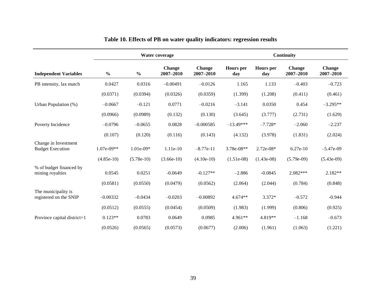|                                                 | Water coverage |               |                            |                            | <b>Continuity</b>       |                         |                            |                     |
|-------------------------------------------------|----------------|---------------|----------------------------|----------------------------|-------------------------|-------------------------|----------------------------|---------------------|
| <b>Independent Variables</b>                    | $\frac{0}{0}$  | $\frac{0}{0}$ | <b>Change</b><br>2007-2010 | <b>Change</b><br>2007-2010 | <b>Hours</b> per<br>day | <b>Hours</b> per<br>day | <b>Change</b><br>2007-2010 | Change<br>2007-2010 |
| PB intensity, lax match                         | 0.0427         | 0.0316        | $-0.00491$                 | $-0.0126$                  | 1.165                   | 1.133                   | $-0.403$                   | $-0.723$            |
|                                                 | (0.0371)       | (0.0394)      | (0.0326)                   | (0.0359)                   | (1.399)                 | (1.208)                 | (0.411)                    | (0.461)             |
| Urban Population (%)                            | $-0.0667$      | $-0.121$      | 0.0771                     | $-0.0216$                  | $-3.141$                | 0.0350                  | 0.454                      | $-3.295**$          |
|                                                 | (0.0966)       | (0.0989)      | (0.132)                    | (0.130)                    | (3.645)                 | (3.777)                 | (2.731)                    | (1.629)             |
| Poverty Incidence                               | $-0.0796$      | $-0.0655$     | 0.0828                     | $-0.000585$                | $-13.49***$             | $-7.728*$               | $-2.060$                   | $-2.237$            |
|                                                 | (0.107)        | (0.120)       | (0.116)                    | (0.143)                    | (4.132)                 | (3.978)                 | (1.831)                    | (2.024)             |
| Change in Investment<br><b>Budget Execution</b> | 1.07e-09**     | $1.01e-09*$   | $1.11e-10$                 | $-8.77e-11$                | 3.78e-08**              | $2.72e-08*$             | $6.27e-10$                 | $-5.47e-09$         |
|                                                 | $(4.85e-10)$   | $(5.78e-10)$  | $(3.66e-10)$               | $(4.10e-10)$               | $(1.51e-08)$            | $(1.43e-08)$            | $(5.79e-09)$               | $(5.43e-09)$        |
| % of budget financed by<br>mining royalties     | 0.0545         | 0.0251        | $-0.0649$                  | $-0.127**$                 | $-2.886$                | $-0.0845$               | $2.082***$                 | 2.182**             |
|                                                 | (0.0581)       | (0.0550)      | (0.0479)                   | (0.0562)                   | (2.064)                 | (2.044)                 | (0.784)                    | (0.848)             |
| The municipality is<br>registered on the SNIP   | $-0.00332$     | $-0.0434$     | $-0.0203$                  | $-0.00892$                 | $4.674**$               | $3.372*$                | $-0.572$                   | $-0.944$            |
|                                                 | (0.0512)       | (0.0555)      | (0.0454)                   | (0.0509)                   | (1.983)                 | (1.999)                 | (0.806)                    | (0.925)             |
| Province capital district=1                     | $0.123**$      | 0.0783        | 0.0649                     | 0.0985                     | 4.961**                 | 4.819**                 | $-1.168$                   | $-0.673$            |
|                                                 | (0.0526)       | (0.0565)      | (0.0573)                   | (0.0677)                   | (2.006)                 | (1.961)                 | (1.063)                    | (1.221)             |

# **Table 10. Effects of PB on water quality indicators: regression results**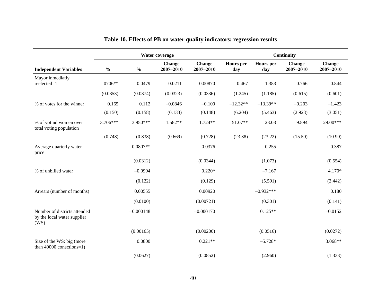|                                                                     |               |               | Water coverage             |                            |                         |                         | <b>Continuity</b>          |                            |
|---------------------------------------------------------------------|---------------|---------------|----------------------------|----------------------------|-------------------------|-------------------------|----------------------------|----------------------------|
| <b>Independent Variables</b>                                        | $\frac{0}{0}$ | $\frac{0}{0}$ | <b>Change</b><br>2007-2010 | <b>Change</b><br>2007-2010 | <b>Hours</b> per<br>day | <b>Hours</b> per<br>day | <b>Change</b><br>2007-2010 | <b>Change</b><br>2007-2010 |
| Mayor inmediatly<br>reelected=1                                     | $-0706**$     | $-0.0479$     | $-0.0211$                  | $-0.00870$                 | $-0.467$                | $-1.383$                | 0.766                      | 0.844                      |
|                                                                     | (0.0353)      | (0.0374)      | (0.0323)                   | (0.0336)                   | (1.245)                 | (1.185)                 | (0.615)                    | (0.601)                    |
| % of votes for the winner                                           | 0.165         | 0.112         | $-0.0846$                  | $-0.100$                   | $-12.32**$              | $-13.39**$              | $-0.203$                   | $-1.423$                   |
|                                                                     | (0.150)       | (0.158)       | (0.133)                    | (0.148)                    | (6.204)                 | (5.463)                 | (2.923)                    | (3.051)                    |
| % of votind women over<br>total voting population                   | $3.706***$    | 3.950***      | 1.582**                    | $1.724**$                  | 51.07**                 | 23.03                   | 9.894                      | 29.00***                   |
|                                                                     | (0.748)       | (0.838)       | (0.669)                    | (0.728)                    | (23.38)                 | (23.22)                 | (15.50)                    | (10.90)                    |
| Average quarterly water<br>price                                    |               | $0.0807**$    |                            | 0.0376                     |                         | $-0.255$                |                            | 0.387                      |
|                                                                     |               | (0.0312)      |                            | (0.0344)                   |                         | (1.073)                 |                            | (0.554)                    |
| % of unbilled water                                                 |               | $-0.0994$     |                            | $0.220*$                   |                         | $-7.167$                |                            | $4.170*$                   |
|                                                                     |               | (0.122)       |                            | (0.129)                    |                         | (5.591)                 |                            | (2.442)                    |
| Arrears (number of months)                                          |               | 0.00555       |                            | 0.00920                    |                         | $-0.932***$             |                            | 0.180                      |
|                                                                     |               | (0.0100)      |                            | (0.00721)                  |                         | (0.301)                 |                            | (0.141)                    |
| Number of districts attended<br>by the local water supplier<br>(WS) |               | $-0.000148$   |                            | $-0.000170$                |                         | $0.125**$               |                            | $-0.0152$                  |
|                                                                     |               | (0.00165)     |                            | (0.00200)                  |                         | (0.0516)                |                            | (0.0272)                   |
| Size of the WS: big (more<br>than $40000$ conections=1)             |               | 0.0800        |                            | $0.221**$                  |                         | $-5.728*$               |                            | $3.068**$                  |
|                                                                     |               | (0.0627)      |                            | (0.0852)                   |                         | (2.960)                 |                            | (1.333)                    |

# **Table 10. Effects of PB on water quality indicators: regression results**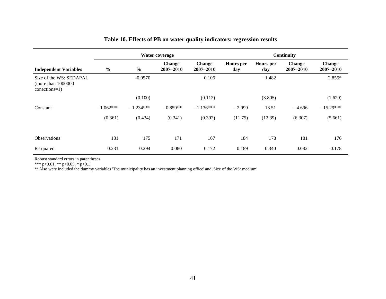|                                                                      | Water coverage |             |                         |                                | <b>Continuity</b>       |                         |                     |                            |  |
|----------------------------------------------------------------------|----------------|-------------|-------------------------|--------------------------------|-------------------------|-------------------------|---------------------|----------------------------|--|
| <b>Independent Variables</b>                                         | $\frac{0}{0}$  | $\%$        | Change<br>$2007 - 2010$ | <b>Change</b><br>$2007 - 2010$ | <b>Hours</b> per<br>day | <b>Hours</b> per<br>day | Change<br>2007-2010 | <b>Change</b><br>2007-2010 |  |
| Size of the WS: SEDAPAL<br>(more than $1000000$ )<br>$conections=1)$ |                | $-0.0570$   |                         | 0.106                          |                         | $-1.482$                |                     | 2.855*                     |  |
|                                                                      |                | (0.100)     |                         | (0.112)                        |                         | (3.805)                 |                     | (1.620)                    |  |
| Constant                                                             | $-1.062***$    | $-1.234***$ | $-0.859**$              | $-1.136***$                    | $-2.099$                | 13.51                   | $-4.696$            | $-15.29***$                |  |
|                                                                      | (0.361)        | (0.434)     | (0.341)                 | (0.392)                        | (11.75)                 | (12.39)                 | (6.307)             | (5.661)                    |  |
| <b>Observations</b>                                                  | 181            | 175         | 171                     | 167                            | 184                     | 178                     | 181                 | 176                        |  |
| R-squared                                                            | 0.231          | 0.294       | 0.080                   | 0.172                          | 0.189                   | 0.340                   | 0.082               | 0.178                      |  |

# **Table 10. Effects of PB on water quality indicators: regression results**

Robust standard errors in parentheses

\*\*\* p<0.01, \*\* p<0.05, \* p<0.1

\*/ Also were included the dummy variables 'The municipality has an investment planning office' and 'Size of the WS: medium'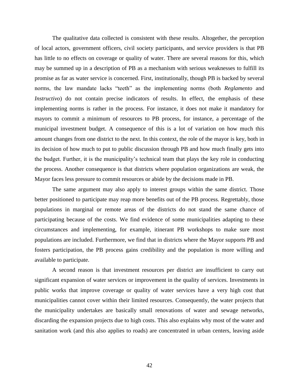The qualitative data collected is consistent with these results. Altogether, the perception of local actors, government officers, civil society participants, and service providers is that PB has little to no effects on coverage or quality of water. There are several reasons for this, which may be summed up in a description of PB as a mechanism with serious weaknesses to fulfill its promise as far as water service is concerned. First, institutionally, though PB is backed by several norms, the law mandate lacks "teeth" as the implementing norms (both *Reglamento* and *Instructivo*) do not contain precise indicators of results. In effect, the emphasis of these implementing norms is rather in the process. For instance, it does not make it mandatory for mayors to commit a minimum of resources to PB process, for instance, a percentage of the municipal investment budget. A consequence of this is a lot of variation on how much this amount changes from one district to the next. In this context, the role of the mayor is key, both in its decision of how much to put to public discussion through PB and how much finally gets into the budget. Further, it is the municipality's technical team that plays the key role in conducting the process. Another consequence is that districts where population organizations are weak, the Mayor faces less pressure to commit resources or abide by the decisions made in PB.

The same argument may also apply to interest groups within the same district. Those better positioned to participate may reap more benefits out of the PB process. Regrettably, those populations in marginal or remote areas of the districts do not stand the same chance of participating because of the costs. We find evidence of some municipalities adapting to these circumstances and implementing, for example, itinerant PB workshops to make sure most populations are included. Furthermore, we find that in districts where the Mayor supports PB and fosters participation, the PB process gains credibility and the population is more willing and available to participate.

A second reason is that investment resources per district are insufficient to carry out significant expansion of water services or improvement in the quality of services. Investments in public works that improve coverage or quality of water services have a very high cost that municipalities cannot cover within their limited resources. Consequently, the water projects that the municipality undertakes are basically small renovations of water and sewage networks, discarding the expansion projects due to high costs. This also explains why most of the water and sanitation work (and this also applies to roads) are concentrated in urban centers, leaving aside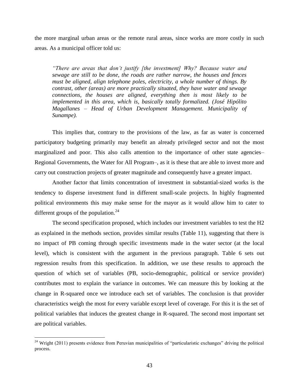the more marginal urban areas or the remote rural areas, since works are more costly in such areas. As a municipal officer told us:

*"There are areas that don't justify [the investment] Why? Because water and sewage are still to be done, the roads are rather narrow, the houses and fences must be aligned, align telephone poles, electricity, a whole number of things. By contrast, other (areas) are more practically situated, they have water and sewage connections, the houses are aligned, everything then is most likely to be implemented in this area, which is, basically totally formalized. (José Hipólito Magallanes – Head of Urban Development Management. Municipality of Sunampe).*

This implies that, contrary to the provisions of the law, as far as water is concerned participatory budgeting primarily may benefit an already privileged sector and not the most marginalized and poor. This also calls attention to the importance of other state agencies– Regional Governments, the Water for All Program–, as it is these that are able to invest more and carry out construction projects of greater magnitude and consequently have a greater impact.

Another factor that limits concentration of investment in substantial-sized works is the tendency to disperse investment fund in different small-scale projects. In highly fragmented political environments this may make sense for the mayor as it would allow him to cater to different groups of the population. $24$ 

The second specification proposed, which includes our investment variables to test the H2 as explained in the methods section, provides similar results (Table 11), suggesting that there is no impact of PB coming through specific investments made in the water sector (at the local level), which is consistent with the argument in the previous paragraph. Table 6 sets out regression results from this specification. In addition, we use these results to approach the question of which set of variables (PB, socio-demographic, political or service provider) contributes most to explain the variance in outcomes. We can measure this by looking at the change in R-squared once we introduce each set of variables. The conclusion is that provider characteristics weigh the most for every variable except level of coverage. For this it is the set of political variables that induces the greatest change in R-squared. The second most important set are political variables.

 $\overline{a}$ 

 $24$  Wright (2011) presents evidence from Peruvian municipalities of "particularistic exchanges" driving the political process.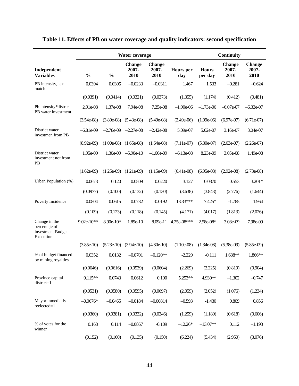|                                                                  | Water coverage |               |                                |                                |                         | Continuity              |                                |                                |  |
|------------------------------------------------------------------|----------------|---------------|--------------------------------|--------------------------------|-------------------------|-------------------------|--------------------------------|--------------------------------|--|
| Independent<br><b>Variables</b>                                  | $\frac{0}{0}$  | $\frac{0}{0}$ | <b>Change</b><br>2007-<br>2010 | <b>Change</b><br>2007-<br>2010 | <b>Hours</b> per<br>day | <b>Hours</b><br>per day | <b>Change</b><br>2007-<br>2010 | <b>Change</b><br>2007-<br>2010 |  |
| PB intensity, lax<br>match                                       | 0.0394         | 0.0305        | $-0.0233$                      | $-0.0311$                      | 1.467                   | 1.533                   | $-0.281$                       | $-0.624$                       |  |
|                                                                  | (0.0391)       | (0.0414)      | (0.0321)                       | (0.0373)                       | (1.355)                 | (1.174)                 | (0.412)                        | (0.481)                        |  |
| Pb intensity*district<br>PB water investment                     | 2.91e-08       | 1.37e-08      | 7.94e-08                       | 7.25e-08                       | $-1.90e-06$             | $-1.73e-06$             | $-6.07e-07$                    | $-6.32e-07$                    |  |
|                                                                  | $(3.54e-08)$   | $(3.80e-0.8)$ | $(5.43e-08)$                   | $(5.49e-08)$                   | $(2.49e-06)$            | $(1.99e-06)$            | $(6.97e-07)$                   | $(6.71e-07)$                   |  |
| District water<br>investmen from PB                              | $-6.81e-09$    | $-2.78e-09$   | $-2.27e-08$                    | $-2.42e-08$                    | 5.09e-07                | 5.02e-07                | 3.16e-07                       | 3.04e-07                       |  |
|                                                                  | $(8.92e-09)$   | $(1.00e-08)$  | $(1.65e-08)$                   | $(1.64e-08)$                   | $(7.11e-07)$            | $(5.30e-07)$            | $(2.63e-07)$                   | $(2.26e-07)$                   |  |
| District water<br>investment not from<br><b>PB</b>               | 1.95e-09       | 1.30e-09      | $-5.90e-10$                    | $-1.66e-09$                    | $-6.13e-08$             | 8.23e-09                | 3.05e-08                       | 1.49e-08                       |  |
|                                                                  | $(1.62e-0.9)$  | $(1.25e-0.9)$ | $(1.21e-0.9)$                  | $(1.15e-09)$                   | $(6.41e-08)$            | $(6.95e-08)$            | $(2.92e-08)$                   | $(2.73e-0.8)$                  |  |
| Urban Population (%)                                             | $-0.0673$      | $-0.120$      | 0.0809                         | $-0.0220$                      | $-3.127$                | 0.0870                  | 0.553                          | $-3.201*$                      |  |
|                                                                  | (0.0977)       | (0.100)       | (0.132)                        | (0.130)                        | (3.638)                 | (3.843)                 | (2.776)                        | (1.644)                        |  |
| Poverty Incidence                                                | $-0.0804$      | $-0.0615$     | 0.0732                         | $-0.0192$                      | $-13.33***$             | $-7.425*$               | $-1.785$                       | $-1.964$                       |  |
|                                                                  | (0.109)        | (0.123)       | (0.118)                        | (0.145)                        | (4.171)                 | (4.017)                 | (1.813)                        | (2.026)                        |  |
| Change in the<br>percentaje of<br>investment Budget<br>Execution | 9.02e-10**     | $8.90e-10*$   | 1.89e-10                       | 8.09e-11                       | $4.25e-08***$           | 2.58e-08*               | $-3.08e-09$                    | $-7.98e-09$                    |  |
|                                                                  | $(3.85e-10)$   | $(5.23e-10)$  | $(3.94e-10)$                   | $(4.80e-10)$                   | $(1.10e-08)$            | $(1.34e-08)$            | $(5.38e-09)$                   | $(5.85e-09)$                   |  |
| % of budget financed<br>by mining royalties                      | 0.0352         | 0.0132        | $-0.0701$                      | $-0.120**$                     | $-2.229$                | $-0.111$                | 1.688**                        | 1.866**                        |  |
|                                                                  | (0.0646)       | (0.0616)      | (0.0539)                       | (0.0604)                       | (2.269)                 | (2.225)                 | (0.819)                        | (0.904)                        |  |
| Province capital<br>$district=1$                                 | $0.115**$      | 0.0743        | 0.0612                         | 0.100                          | 5.253**                 | 4.930**                 | $-1.302$                       | $-0.747$                       |  |
|                                                                  | (0.0531)       | (0.0580)      | (0.0595)                       | (0.0697)                       | (2.059)                 | (2.052)                 | (1.076)                        | (1.234)                        |  |
| Mayor inmediatly<br>reelected=1                                  | $-0.0676*$     | $-0.0465$     | $-0.0184$                      | $-0.00814$                     | $-0.593$                | $-1.430$                | 0.809                          | 0.856                          |  |
|                                                                  | (0.0360)       | (0.0381)      | (0.0332)                       | (0.0346)                       | (1.259)                 | (1.189)                 | (0.618)                        | (0.606)                        |  |
| % of votes for the<br>winner                                     | 0.168          | 0.114         | $-0.0867$                      | $-0.109$                       | $-12.26*$               | $-13.07**$              | 0.112                          | $-1.193$                       |  |
|                                                                  | (0.152)        | (0.160)       | (0.135)                        | (0.150)                        | (6.224)                 | (5.434)                 | (2.950)                        | (3.076)                        |  |

| Table 11. Effects of PB on water coverage and quality indicators: second specification |  |  |  |
|----------------------------------------------------------------------------------------|--|--|--|
|                                                                                        |  |  |  |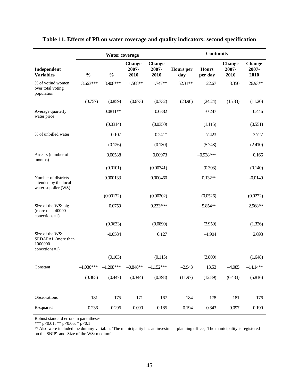|                                                                     | <b>Water coverage</b> |               |                         |                                | Continuity              |                         |                                |                                |
|---------------------------------------------------------------------|-----------------------|---------------|-------------------------|--------------------------------|-------------------------|-------------------------|--------------------------------|--------------------------------|
| Independent<br><b>Variables</b>                                     | $\frac{0}{0}$         | $\frac{0}{0}$ | Change<br>2007-<br>2010 | <b>Change</b><br>2007-<br>2010 | <b>Hours</b> per<br>day | <b>Hours</b><br>per day | <b>Change</b><br>2007-<br>2010 | <b>Change</b><br>2007-<br>2010 |
| % of votind women<br>over total voting<br>population                | 3.663***              | 3.908***      | 1.568**                 | $1.747**$                      | 52.31**                 | 22.67                   | 8.350                          | 26.93**                        |
|                                                                     | (0.757)               | (0.859)       | (0.673)                 | (0.732)                        | (23.96)                 | (24.24)                 | (15.83)                        | (11.20)                        |
| Average quarterly<br>water price                                    |                       | $0.0811**$    |                         | 0.0382                         |                         | $-0.247$                |                                | 0.446                          |
|                                                                     |                       | (0.0314)      |                         | (0.0350)                       |                         | (1.115)                 |                                | (0.551)                        |
| % of unbilled water                                                 |                       | $-0.107$      |                         | $0.241*$                       |                         | $-7.423$                |                                | 3.727                          |
|                                                                     |                       | (0.126)       |                         | (0.130)                        |                         | (5.748)                 |                                | (2.410)                        |
| Arrears (number of<br>months)                                       |                       | 0.00538       |                         | 0.00973                        |                         | $-0.938***$             |                                | 0.166                          |
|                                                                     |                       | (0.0101)      |                         | (0.00741)                      |                         | (0.303)                 |                                | (0.140)                        |
| Number of districts<br>attended by the local<br>water supplier (WS) |                       | $-0.000133$   |                         | $-0.000460$                    |                         | $0.132**$               |                                | $-0.0149$                      |
|                                                                     |                       | (0.00172)     |                         | (0.00202)                      |                         | (0.0526)                |                                | (0.0272)                       |
| Size of the WS: big<br>(more than 40000<br>conections=1)            |                       | 0.0759        |                         | 0.233***                       |                         | $-5.854**$              |                                | 2.968**                        |
|                                                                     |                       | (0.0633)      |                         | (0.0890)                       |                         | (2.959)                 |                                | (1.326)                        |
| Size of the WS:<br>SEDAPAL (more than<br>1000000<br>conections=1)   |                       | $-0.0584$     |                         | 0.127                          |                         | $-1.904$                |                                | 2.693                          |
|                                                                     |                       | (0.103)       |                         | (0.115)                        |                         | (3.800)                 |                                | (1.648)                        |
| Constant                                                            | $-1.036***$           | $-1.208***$   | $-0.848**$              | $-1.152***$                    | $-2.943$                | 13.53                   | $-4.085$                       | $-14.14**$                     |
|                                                                     | (0.365)               | (0.447)       | (0.344)                 | (0.398)                        | (11.97)                 | (12.89)                 | (6.434)                        | (5.816)                        |
| Observations                                                        | 181                   | 175           | 171                     | 167                            | 184                     | 178                     | 181                            | 176                            |
| R-squared                                                           | 0.236                 | 0.296         | 0.090                   | 0.185                          | 0.194                   | 0.343                   | 0.097                          | 0.190                          |

# **Table 11. Effects of PB on water coverage and quality indicators: second specification**

Robust standard errors in parentheses

\*\*\* p<0.01, \*\* p<0.05, \* p<0.1

\*/ Also were included the dummy variables 'The municipality has an investment planning office', 'The municipality is registered on the SNIP' and 'Size of the WS: medium'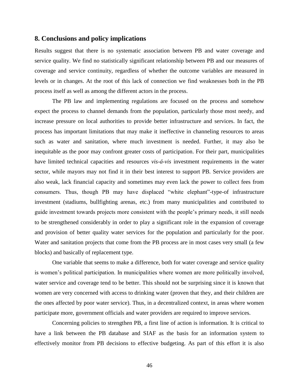## **8. Conclusions and policy implications**

Results suggest that there is no systematic association between PB and water coverage and service quality. We find no statistically significant relationship between PB and our measures of coverage and service continuity, regardless of whether the outcome variables are measured in levels or in changes. At the root of this lack of connection we find weaknesses both in the PB process itself as well as among the different actors in the process.

The PB law and implementing regulations are focused on the process and somehow expect the process to channel demands from the population, particularly those most needy, and increase pressure on local authorities to provide better infrastructure and services. In fact, the process has important limitations that may make it ineffective in channeling resources to areas such as water and sanitation, where much investment is needed. Further, it may also be inequitable as the poor may confront greater costs of participation. For their part, municipalities have limited technical capacities and resources *vis-á-vis* investment requirements in the water sector, while mayors may not find it in their best interest to support PB. Service providers are also weak, lack financial capacity and sometimes may even lack the power to collect fees from consumers. Thus, though PB may have displaced "white elephant"-type-of infrastructure investment (stadiums, bullfighting arenas, etc.) from many municipalities and contributed to guide investment towards projects more consistent with the people's primary needs, it still needs to be strengthened considerably in order to play a significant role in the expansion of coverage and provision of better quality water services for the population and particularly for the poor. Water and sanitation projects that come from the PB process are in most cases very small (a few blocks) and basically of replacement type.

One variable that seems to make a difference, both for water coverage and service quality is women's political participation. In municipalities where women are more politically involved, water service and coverage tend to be better. This should not be surprising since it is known that women are very concerned with access to drinking water (proven that they, and their children are the ones affected by poor water service). Thus, in a decentralized context, in areas where women participate more, government officials and water providers are required to improve services.

Concerning policies to strengthen PB, a first line of action is information. It is critical to have a link between the PB database and SIAF as the basis for an information system to effectively monitor from PB decisions to effective budgeting. As part of this effort it is also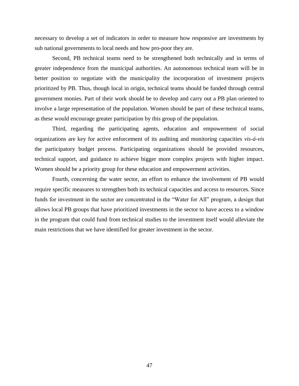necessary to develop a set of indicators in order to measure how responsive are investments by sub national governments to local needs and how pro-poor they are.

Second, PB technical teams need to be strengthened both technically and in terms of greater independence from the municipal authorities. An autonomous technical team will be in better position to negotiate with the municipality the incorporation of investment projects prioritized by PB. Thus, though local in origin, technical teams should be funded through central government monies. Part of their work should be to develop and carry out a PB plan oriented to involve a large representation of the population. Women should be part of these technical teams, as these would encourage greater participation by this group of the population.

Third, regarding the participating agents, education and empowerment of social organizations are key for active enforcement of its auditing and monitoring capacities *vis-á-vis* the participatory budget process. Participating organizations should be provided resources, technical support, and guidance to achieve bigger more complex projects with higher impact. Women should be a priority group for these education and empowerment activities.

Fourth, concerning the water sector, an effort to enhance the involvement of PB would require specific measures to strengthen both its technical capacities and access to resources. Since funds for investment in the sector are concentrated in the "Water for All" program, a design that allows local PB groups that have prioritized investments in the sector to have access to a window in the program that could fund from technical studies to the investment itself would alleviate the main restrictions that we have identified for greater investment in the sector.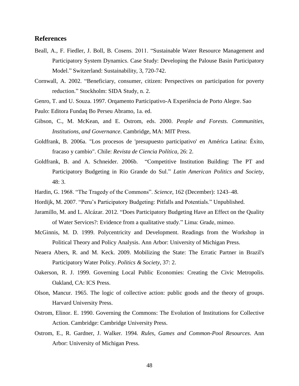## **References**

- Beall, A., F. Fiedler, J. Boll, B. Cosens. 2011. "Sustainable Water Resource Management and Participatory System Dynamics. Case Study: Developing the Palouse Basin Participatory Model." Switzerland: Sustainability, 3, 720-742.
- Cornwall, A. 2002. "Beneficiary, consumer, citizen: Perspectives on participation for poverty reduction." Stockholm: SIDA Study, n. 2.

Genro, T. and U. Souza. 1997. Orqamento Participativo-A Experiência de Porto Alegre. Sao Paulo: Editora Fundaq Bo Perseu Abramo, 1a. ed.

- Gibson, C., M. McKean, and E. Ostrom, eds. 2000. *People and Forests. Communities, Institutions, and Governance*. Cambridge, MA: MIT Press.
- Goldfrank, B. 2006a. "Los procesos de 'presupuesto participativo' en América Latina: Éxito, fracaso y cambio". Chile: *Revista de Ciencia Política,* 26: 2.
- Goldfrank, B. and A. Schneider. 2006b. 
"Competitive Institution Building: The PT and Participatory Budgeting in Rio Grande do Sul." Latin American Politics and Society, 48: 3.
- Hardin, G. 1968. "The Tragedy of the Commons". *Science*, 162 (December): 1243–48.
- Hordijk, M. 2007. "Peru's Participatory Budgeting: Pitfalls and Potentials." Unpublished.
- Jaramillo, M. and L. Alcázar. 2012. "Does Participatory Budgeting Have an Effect on the Quality of Water Services?: Evidence from a qualitative study." Lima: Grade, mimeo.
- McGinnis, M. D. 1999. Polycentricity and Development. Readings from the Workshop in Political Theory and Policy Analysis. Ann Arbor: University of Michigan Press.
- Neaera Abers, R. and M. Keck. 2009. Mobilizing the State: The Erratic Partner in Brazil's Participatory Water Policy. *Politics & Society*, 37: 2.
- Oakerson, R. J. 1999. Governing Local Public Economies: Creating the Civic Metropolis. Oakland, CA: ICS Press.
- Olson, Mancur. 1965. The logic of collective action: public goods and the theory of groups. Harvard University Press.
- Ostrom, Elinor. E. 1990. Governing the Commons: The Evolution of Institutions for Collective Action. Cambridge: Cambridge University Press.
- Ostrom, E., R. Gardner, J. Walker. 1994. *Rules, Games and Common-Pool Resources*. Ann Arbor: University of Michigan Press.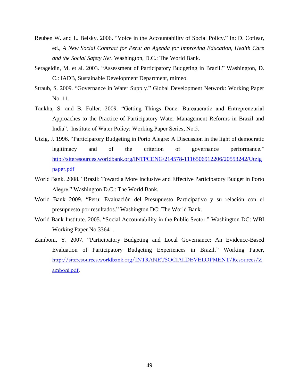- Reuben W. and L. Belsky. 2006. "Voice in the Accountability of Social Policy." In: D. Cotlear, ed., *A New Social Contract for Peru: an Agenda for Improving Education, Health Care and the Social Safety Net*. Washington, D.C.: The World Bank.
- Serageldin, M. et al. 2003. "Assessment of Participatory Budgeting in Brazil." Washington, D. C.: IADB, Sustainable Development Department, mimeo.
- Straub, S. 2009. "Governance in Water Supply." Global Development Network: Working Paper No. 11.
- Tankha, S. and B. Fuller. 2009. "Getting Things Done: Bureaucratic and Entrepreneurial Approaches to the Practice of Participatory Water Management Reforms in Brazil and India". Institute of Water Policy: Working Paper Series, No.5.
- Utzig, J. 1996. "Participarory Budgeting in Porto Alegre: A Discussion in the light of democratic legitimacy and of the criterion of governance performance." [http://siteresources.worldbank.org/INTPCENG/214578-1116506912206/20553242/Utzig](http://siteresources.worldbank.org/INTPCENG/214578-1116506912206/20553242/Utzig%0bpaper.pdf) [paper.pdf](http://siteresources.worldbank.org/INTPCENG/214578-1116506912206/20553242/Utzig%0bpaper.pdf)
- World Bank. 2008. "Brazil: Toward a More Inclusive and Effective Participatory Budget in Porto Alegre." Washington D.C.: The World Bank.
- World Bank 2009. "Peru: Evaluación del Presupuesto Participativo y su relación con el presupuesto por resultados." Washington DC: The World Bank.
- World Bank Institute. 2005. "Social Accountability in the Public Sector." Washington DC: WBI Working Paper No.33641.
- Zamboni, Y. 2007. "Participatory Budgeting and Local Governance: An Evidence-Based Evaluation of Participatory Budgeting Experiences in Brazil." Working Paper, [http://siteresources.worldbank.org/INTRANETSOCIALDEVELOPMENT/Resources/Z](http://siteresources.worldbank.org/INTRANETSOCIALDEVELOPMENT/Resources/Zamboni.pdf) [amboni.pdf](http://siteresources.worldbank.org/INTRANETSOCIALDEVELOPMENT/Resources/Zamboni.pdf).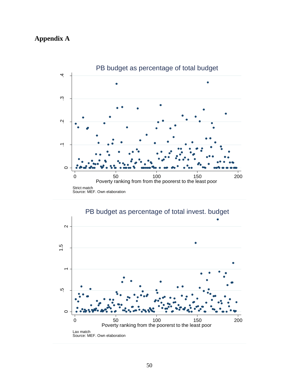# **Appendix A**

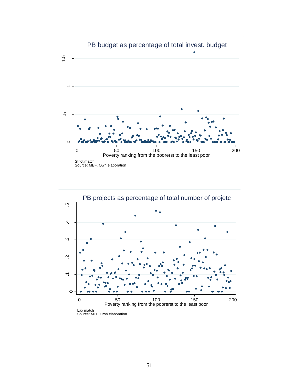

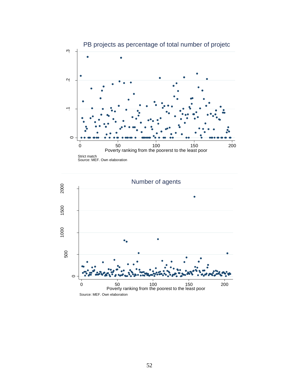

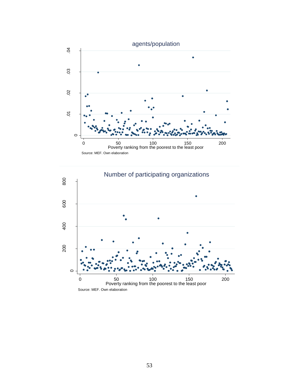

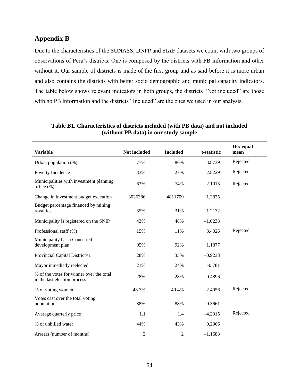# **Appendix B**

Due to the characteristics of the SUNASS, DNPP and SIAF datasets we count with two groups of observations of Peru's districts. One is composed by the districts with PB information and other without it. Our sample of districts is made of the first group and as said before it is more urban and also contains the districts with better socio demographic and municipal capacity indicators. The table below shows relevant indicators in both groups, the districts "Not included" are those with no PB information and the districts "Included" are the ones we used in our analysis.

| <b>Variable</b>                                                          | Not included | <b>Included</b> | t-statistic | Ho: equal<br>mean |
|--------------------------------------------------------------------------|--------------|-----------------|-------------|-------------------|
| Urban population $(\%)$                                                  | 77%          | 86%             | $-3.8739$   | Rejected          |
| Poverty Incidence                                                        | 33%          | 27%             | 2.8229      | Rejected          |
| Municipalities with investment planning<br>office $(\%)$                 | 63%          | 74%             | $-2.1013$   | Rejected          |
| Change in investment budget execution                                    | 3026386      | 4811709         | $-1.3825$   |                   |
| Budget percentage financed by mining<br>royalties                        | 35%          | 31%             | 1.2132      |                   |
| Municipality is registered on the SNIP                                   | 42%          | 48%             | $-1.0238$   |                   |
| Professional staff (%)                                                   | 15%          | 11%             | 3.4326      | Rejected          |
| Municipality has a Concerted<br>development plan.                        | 95%          | 92%             | 1.1877      |                   |
| Provincial Capital District=1                                            | 28%          | 33%             | $-0.9238$   |                   |
| Mayor inmediatly reelected                                               | 21%          | 24%             | $-0.781$    |                   |
| % of the votes for winner over the total<br>in the last election process | 28%          | 28%             | 0.4896      |                   |
| % of voting women                                                        | 48.7%        | 49.4%           | $-2.4056$   | Rejected          |
| Votes cast over the total voting<br>population                           | 88%          | 88%             | 0.3661      |                   |
| Average quarterly price                                                  | 1.1          | 1.4             | $-4.2915$   | Rejected          |
| % of unbilled water                                                      | 44%          | 43%             | 0.2066      |                   |
| Arrears (number of months)                                               | 2            | $\overline{2}$  | $-1.1688$   |                   |

**Table B1. Characteristics of districts included (with PB data) and not included (without PB data) in our study sample**